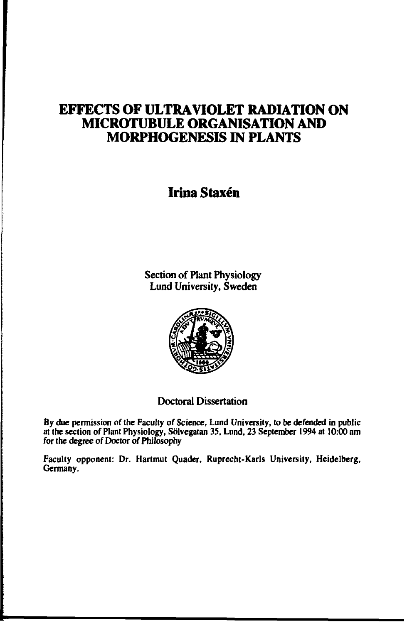# **EFFECTS OF ULTRAVIOLET RADIATION ON MICROTUBULE ORGANISATION AND MORPHOGENESIS IN PLANTS**

# **Irina Staxén**

**Section of Plant Physiology Lund University, Sweden**



## **Doctoral Dissertation**

**By due permission of the Faculty of Science, Lund University, to be defended in public at the section of Plant Physiology, Sölvegatan 35, Lund, 23 September 1994 at 10:00 am for the degree of Doctor of Phili**

**Faculty opponent: Dr. Hartmut Quader, Ruprecht-Karls University, Heidelberg, Germany.**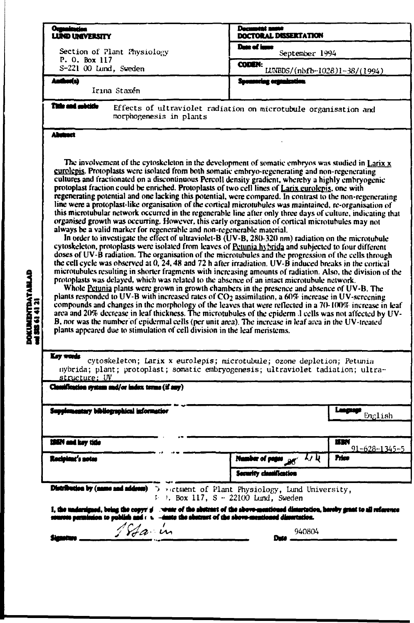| <b>Oumainster</b>                                                                                                                                                                                                                                                                                                                                                                                                                                                                                                                                                                                                                                                                                                                                                                                                                                                                                                                                                                                                                                                                                                                                                                                                                                                                                                                                                                                                                                                                                                                                                                                                                                                                                                                                                                                                                                                                                                                                                                                                                                     | <b>Decament</b> anno                                                                                                                                       |  |  |
|-------------------------------------------------------------------------------------------------------------------------------------------------------------------------------------------------------------------------------------------------------------------------------------------------------------------------------------------------------------------------------------------------------------------------------------------------------------------------------------------------------------------------------------------------------------------------------------------------------------------------------------------------------------------------------------------------------------------------------------------------------------------------------------------------------------------------------------------------------------------------------------------------------------------------------------------------------------------------------------------------------------------------------------------------------------------------------------------------------------------------------------------------------------------------------------------------------------------------------------------------------------------------------------------------------------------------------------------------------------------------------------------------------------------------------------------------------------------------------------------------------------------------------------------------------------------------------------------------------------------------------------------------------------------------------------------------------------------------------------------------------------------------------------------------------------------------------------------------------------------------------------------------------------------------------------------------------------------------------------------------------------------------------------------------------|------------------------------------------------------------------------------------------------------------------------------------------------------------|--|--|
| <b>LUND UNIVERSITY</b>                                                                                                                                                                                                                                                                                                                                                                                                                                                                                                                                                                                                                                                                                                                                                                                                                                                                                                                                                                                                                                                                                                                                                                                                                                                                                                                                                                                                                                                                                                                                                                                                                                                                                                                                                                                                                                                                                                                                                                                                                                | <b>DOCTORAL DISSERTATION</b><br>Date of imme                                                                                                               |  |  |
| Section of Plant Physiology                                                                                                                                                                                                                                                                                                                                                                                                                                                                                                                                                                                                                                                                                                                                                                                                                                                                                                                                                                                                                                                                                                                                                                                                                                                                                                                                                                                                                                                                                                                                                                                                                                                                                                                                                                                                                                                                                                                                                                                                                           | September 1994                                                                                                                                             |  |  |
| P. O. Box 117<br>S-221 00 Lund, Sweden                                                                                                                                                                                                                                                                                                                                                                                                                                                                                                                                                                                                                                                                                                                                                                                                                                                                                                                                                                                                                                                                                                                                                                                                                                                                                                                                                                                                                                                                                                                                                                                                                                                                                                                                                                                                                                                                                                                                                                                                                | <b>CODEN:</b><br>LUNBDS/(nbfb-1028)1-38/(1994)                                                                                                             |  |  |
| Anthor(s)<br>Irina Staxén                                                                                                                                                                                                                                                                                                                                                                                                                                                                                                                                                                                                                                                                                                                                                                                                                                                                                                                                                                                                                                                                                                                                                                                                                                                                                                                                                                                                                                                                                                                                                                                                                                                                                                                                                                                                                                                                                                                                                                                                                             | Sponsoring contraction                                                                                                                                     |  |  |
| This and minicip<br>morphogenesis in plants                                                                                                                                                                                                                                                                                                                                                                                                                                                                                                                                                                                                                                                                                                                                                                                                                                                                                                                                                                                                                                                                                                                                                                                                                                                                                                                                                                                                                                                                                                                                                                                                                                                                                                                                                                                                                                                                                                                                                                                                           | Effects of ultraviolet radiation on microtubule organisation and                                                                                           |  |  |
| Alimact                                                                                                                                                                                                                                                                                                                                                                                                                                                                                                                                                                                                                                                                                                                                                                                                                                                                                                                                                                                                                                                                                                                                                                                                                                                                                                                                                                                                                                                                                                                                                                                                                                                                                                                                                                                                                                                                                                                                                                                                                                               |                                                                                                                                                            |  |  |
| cultures and fractionated on a discontinuous Percoll density gradient, whereby a highly embryogenic<br>protoplast fraction could be enriched. Protoplasts of two cell lines of Larix eurolepis, one with<br>regenerating potential and one lacking this potential, were compared. In contrast to the non-regenerating<br>line were a protoplast-like organisation of the cortical microtubules was maintained, re-organisation of<br>this microtubular network occurred in the regenerable line after only three days of culture, indicating that<br>organised growth was occurring. However, this early organisation of cortical microtubules may not<br>always be a valid marker for regenerable and non-regenerable material.<br>In order to investigate the effect of ultraviolet-B $(UV-B, 280-320)$ nm) radiation on the microtubule<br>cytoskeleton, protoplasts were isolated from leaves of Petunia hybrida and subjected to four different<br>doses of UV-B radiation. The organisation of the microtubules and the progression of the cells through<br>the cell cycle was observed at $0, 24, 48$ and 72 h after irradiation. UV-B induced breaks in the cortical<br>microtubules resulting in shorter fragments with increasing amounts of radiation. Also, the division of the<br>DOKUMENTDATABLAD<br>mi 515 61 41 21<br>protoplasts was delayed, which was related to the absence of an intact microtubule network.<br>Whole Petunia plants were grown in growth chambers in the presence and absence of UV-B. The<br>plants responded to UV-B with increased rates of $CO2$ assimilation, a 60% increase in UV-screening<br>compounds and changes in the morphology of the leaves that were reflected in a 70-100% increase in leaf<br>area and 20% decrease in leaf thickness. The microtubules of the epidermal cells was not affected by UV-<br>B, nor was the number of epidermal cells (per unit area). The increase in leaf area in the UV-treated<br>plants appeared due to stimulation of cell division in the leaf meristems. |                                                                                                                                                            |  |  |
|                                                                                                                                                                                                                                                                                                                                                                                                                                                                                                                                                                                                                                                                                                                                                                                                                                                                                                                                                                                                                                                                                                                                                                                                                                                                                                                                                                                                                                                                                                                                                                                                                                                                                                                                                                                                                                                                                                                                                                                                                                                       |                                                                                                                                                            |  |  |
| Key words                                                                                                                                                                                                                                                                                                                                                                                                                                                                                                                                                                                                                                                                                                                                                                                                                                                                                                                                                                                                                                                                                                                                                                                                                                                                                                                                                                                                                                                                                                                                                                                                                                                                                                                                                                                                                                                                                                                                                                                                                                             | cytoskeleton; Larix x eurolepis; microtubule; ozone depletion; Petunia<br>nybrida; plant; protoplast; somatic embryogenesis; ultraviolet tadiation; ultra- |  |  |
| structure; UV<br>Classification system and/or index terms (if any)                                                                                                                                                                                                                                                                                                                                                                                                                                                                                                                                                                                                                                                                                                                                                                                                                                                                                                                                                                                                                                                                                                                                                                                                                                                                                                                                                                                                                                                                                                                                                                                                                                                                                                                                                                                                                                                                                                                                                                                    |                                                                                                                                                            |  |  |
| Supplementary bibliographical information                                                                                                                                                                                                                                                                                                                                                                                                                                                                                                                                                                                                                                                                                                                                                                                                                                                                                                                                                                                                                                                                                                                                                                                                                                                                                                                                                                                                                                                                                                                                                                                                                                                                                                                                                                                                                                                                                                                                                                                                             |                                                                                                                                                            |  |  |
|                                                                                                                                                                                                                                                                                                                                                                                                                                                                                                                                                                                                                                                                                                                                                                                                                                                                                                                                                                                                                                                                                                                                                                                                                                                                                                                                                                                                                                                                                                                                                                                                                                                                                                                                                                                                                                                                                                                                                                                                                                                       | English                                                                                                                                                    |  |  |
| 198N and key title                                                                                                                                                                                                                                                                                                                                                                                                                                                                                                                                                                                                                                                                                                                                                                                                                                                                                                                                                                                                                                                                                                                                                                                                                                                                                                                                                                                                                                                                                                                                                                                                                                                                                                                                                                                                                                                                                                                                                                                                                                    | mm                                                                                                                                                         |  |  |
| Rocipisat's notes                                                                                                                                                                                                                                                                                                                                                                                                                                                                                                                                                                                                                                                                                                                                                                                                                                                                                                                                                                                                                                                                                                                                                                                                                                                                                                                                                                                                                                                                                                                                                                                                                                                                                                                                                                                                                                                                                                                                                                                                                                     | Price                                                                                                                                                      |  |  |
|                                                                                                                                                                                                                                                                                                                                                                                                                                                                                                                                                                                                                                                                                                                                                                                                                                                                                                                                                                                                                                                                                                                                                                                                                                                                                                                                                                                                                                                                                                                                                                                                                                                                                                                                                                                                                                                                                                                                                                                                                                                       | <u>91-628-1345-5</u><br><b>Pagy</b> 44<br><b>Security cleanification</b>                                                                                   |  |  |
| Distribution by (name and address)                                                                                                                                                                                                                                                                                                                                                                                                                                                                                                                                                                                                                                                                                                                                                                                                                                                                                                                                                                                                                                                                                                                                                                                                                                                                                                                                                                                                                                                                                                                                                                                                                                                                                                                                                                                                                                                                                                                                                                                                                    | Describent of Plant Physiology, Lund University,                                                                                                           |  |  |
|                                                                                                                                                                                                                                                                                                                                                                                                                                                                                                                                                                                                                                                                                                                                                                                                                                                                                                                                                                                                                                                                                                                                                                                                                                                                                                                                                                                                                                                                                                                                                                                                                                                                                                                                                                                                                                                                                                                                                                                                                                                       | $\vdash \vdash$ 1. Box 117. S - 22100 Lund. Sweden                                                                                                         |  |  |
| on permission to publish and $\epsilon \sim -i$ mote the abstract of the above-memboned dimertation.                                                                                                                                                                                                                                                                                                                                                                                                                                                                                                                                                                                                                                                                                                                                                                                                                                                                                                                                                                                                                                                                                                                                                                                                                                                                                                                                                                                                                                                                                                                                                                                                                                                                                                                                                                                                                                                                                                                                                  | I, the undersigned, being the copyr $p'$ weste of the abstract of the above-mentioned dimertation, hereby grast to all reference                           |  |  |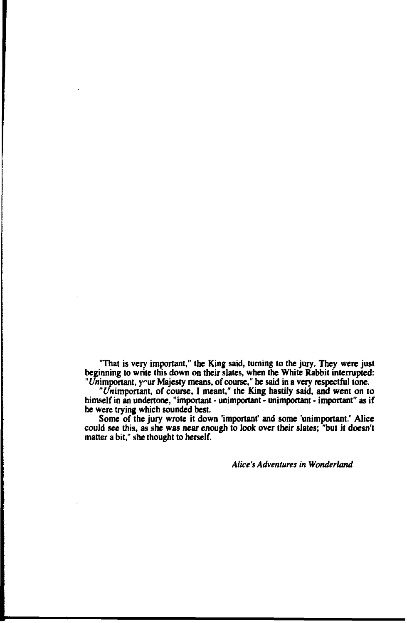**"That is very important," the King said, turning to the jury. They were just beginning to write this down on their slates, when the White Rabbit interrupted: "Unimportant, yrur Majesty means, of course," he said in a very respectful tone.**

**"f/nimportant, of course, I meant," the King hastily said, and went on to himself in an undertone, "important - unimportant - unimportant - important" as if he were trying which sounded best.**

**Some of the jury wrote it down 'important' and some 'unimportant.' Alice could see this, as she was near enough to look over their slates; "but it doesn't matter a bit," she thought to herself.**

*Alice's Adventures in Wonderland*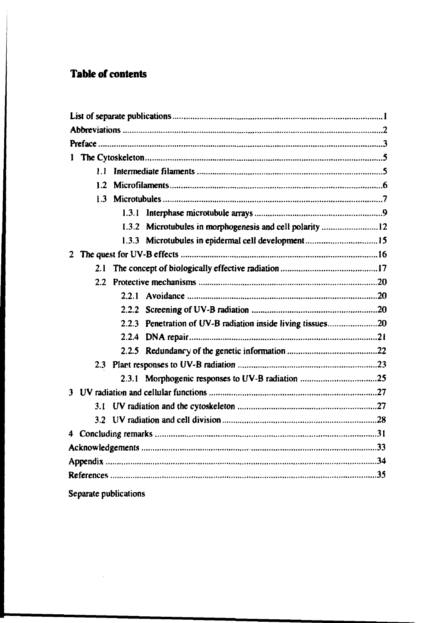# **Table of contents**

 $\bar{z}$ 

<u>in die Stad van die Grootse verschieden der die Afrikaanse verschieden van die Afrikaanse verschieden van die</u>

|                       | 1.3.2 Microtubules in morphogenesis and cell polarity 12    |  |
|-----------------------|-------------------------------------------------------------|--|
|                       | 1.3.3 Microtubules in epidermal cell development15          |  |
|                       |                                                             |  |
| 2.1                   |                                                             |  |
|                       |                                                             |  |
|                       |                                                             |  |
|                       |                                                             |  |
|                       | 2.2.3 Penetration of UV-B radiation inside living tissues20 |  |
|                       |                                                             |  |
|                       |                                                             |  |
|                       |                                                             |  |
|                       | 2.3.1 Morphogenic responses to UV-B radiation 25            |  |
|                       |                                                             |  |
| 3.1                   |                                                             |  |
|                       |                                                             |  |
|                       |                                                             |  |
|                       |                                                             |  |
|                       |                                                             |  |
|                       |                                                             |  |
| Separate publications |                                                             |  |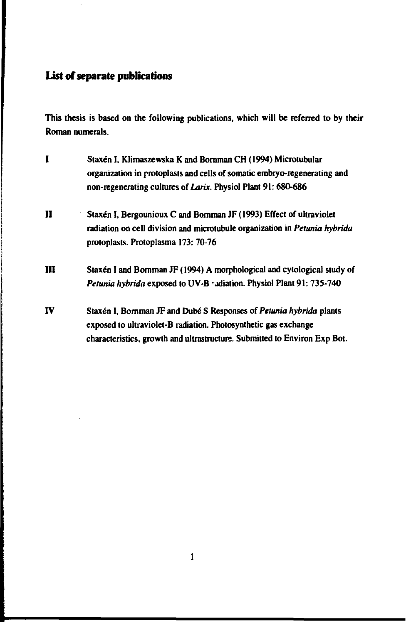## **List of separate publications**

**This thesis is based on the following publications, which will be referred to by their Roman numerals.**

**I Staxén I, Klimaszewska K and Bornman CH (1994) Microtubular organization in protoplasts and cells of somatic embryo-regenerating and non-regenerating cultures of** *Larix.* **Physiol Plant 91:680-686 II Staxén I, Bergounioux C and Bomman JF (1993) Effect of ultraviolet radiation on cell division and microtubule organization in** *Petunia hybrida* **protoplasts. Protoplasma 173: 70-76 III Staxén I and Bomman JF (1994) A morphological and cytological study of** Petunia hybrida exposed to UV-B vadiation. Physiol Plant 91: 735-740 **IV Staxén I, Bornman JF and Dubé S Responses of** *Petunia hybrida* **plants exposed to ultravioIet-B radiation. Photosynthetic gas exchange characteristics, growth and ultrastructure. Submitted to Environ Exp Bot.**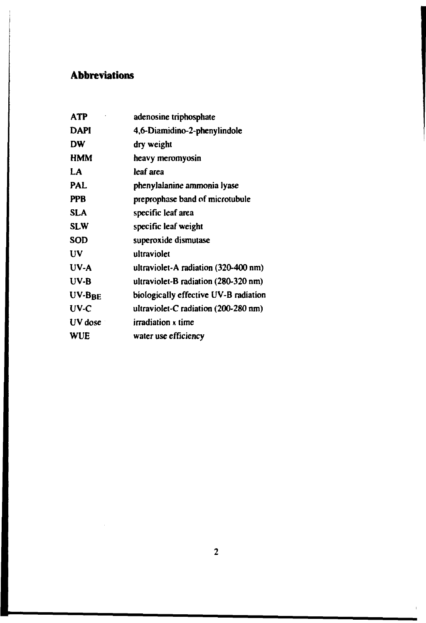# **Abbreviations**

| <b>ATP</b> | adenosine triphosphate                         |
|------------|------------------------------------------------|
| DAPI       | 4,6-Diamidino-2-phenylindole                   |
| DW         | dry weight                                     |
| <b>HMM</b> | heavy meromyosin                               |
| LA         | leaf area                                      |
| PAL        | phenylalanine ammonia lyase                    |
| <b>PPB</b> | preprophase band of microtubule                |
| <b>SLA</b> | specific leaf area                             |
| <b>SLW</b> | specific leaf weight                           |
| <b>SOD</b> | superoxide dismutase                           |
| UV         | ultraviolet                                    |
| $UV-A$     | ultraviolet-A radiation (320-400 nm)           |
| UV-B       | ultraviolet- $B$ radiation (280-320 nm)        |
| $UV-BBE$   | biologically effective UV-B radiation          |
| $UV-C$     | ultraviolet-C radiation $(200-280 \text{ nm})$ |
| $UV$ dose  | irradiation x time                             |
| WUE        | water use efficiency                           |
|            |                                                |

 $\overline{1}$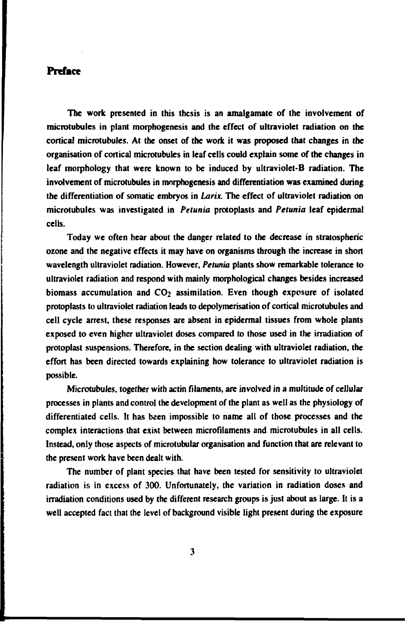# **Preface**

**The work presented in this thesis is an amalgamate of the involvement of microtubules in plant morphogenesis and the effect of ultraviolet radiation on the cortical microtubules. At the onset of the work it was proposed that changes in the organisation of cortical microtubules in leaf cells could explain some of the changes in leaf morphology that were known to be induced by ultraviolet-B radiation. The involvement of microtubules in morphogenesis and differentiation was examined during the differentiation of somatic embryos in** *Larix.* **The effect of ultraviolet radiation on microtubules was investigated in** *Petunia* **protoplasts and** *Petunia* **leaf epidermal cells.**

**Today we often hear about the danger related to the decrease in stratospheric ozone and the negative effects it may have on organisms through the increase in short wavelength ultraviolet radiation. However,** *Petunia* **plants show remarkable tolerance to ultraviolet radiation and respond with mainly morphological changes besides increased** biomass accumulation and CO<sub>2</sub> assimilation. Even though exposure of isolated **protoplasts to ultraviolet radiation leads to depolymerisation of cortical microtubules and cell cycle arrest, these responses are absent in epidermal tissues from whole plants exposed to even higher ultraviolet doses compared to those used in the irradiation of protoplast suspensions. Therefore, in the section dealing with ultraviolet radiation, the effort has been directed towards explaining how tolerance to ultraviolet radiation is possible.**

**Microtubules, together with actin filaments, are involved in a multitude of cellular processes in plants and control the development of the plant as well as the physiology of differentiated cells. It has been impossible to name all of those processes and the complex interactions that exist between microfilaments and microtubules in all cells. Instead, only those aspects of microtubular organisation and function that are relevant to the present work have been dealt with.**

**The number of plant species that have been tested for sensitivity to ultraviolet radiation is in excess of 300. Unfortunately, the variation in radiation doses and irradiation conditions used by the different research groups is just about as large. It is a well accepted fact that the level of background visible light present during the exposure**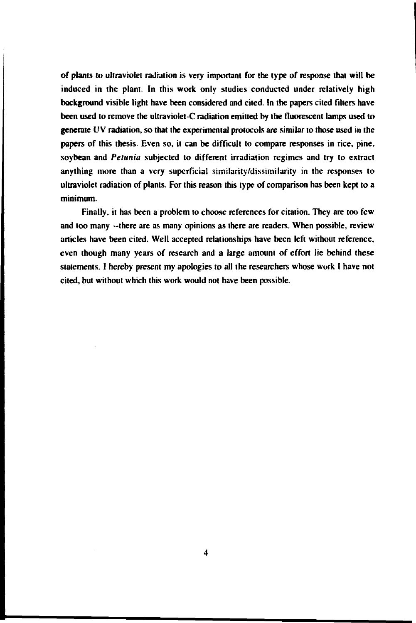**of plants** *to* **ultraviolet radiation is very important for the type of response that will be induced in the plant. In this work only studies conducted under relatively high background visible light have been considered and cited. In the papers cited filters have been used to remove the ultraviolet-C radiation emitted by the fluorescent lamps used to generate UV radiation, so that the experimental protocols are similar to those used in the papers of this thesis. Even so, it can be difficult to compare responses in rice, pine, soybean and** *Petunia* **subjected to different irradiation regimes and try to extract anything more than a very superficial similarity/dissimilarity in the responses to ultraviolet radiation of plants. For this reason this type of comparison has been kept to a minimum.**

**Finally, it has been a problem to choose references for citation. They are too few and too many —there are as many opinions as there are readers. When possible, review articles have been cited. Well accepted relationships have been left without reference, even though many years of research and a large amount of effort lie behind these statements. I hereby present my apologies to all the researchers whose work I have not cited, but without which this work would not have been possible.**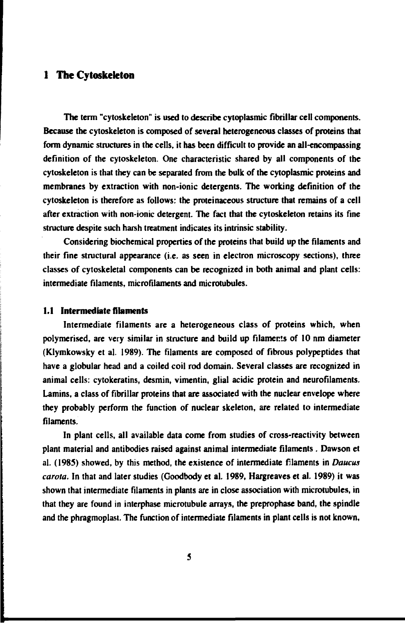## **1 The Cytoskeleton**

The term "cytoskeleton" is used to describe cytoplasmic fibrillar cell components. Because the cytoskeleton is composed of several heterogeneous classes of proteins that form dynamic structures in the cells, it has been difficult to provide an all-encompassing definition of the cytoskeleton. One characteristic shared by all components of the cytoskeleton is that they can be separated from the bulk of the cytoplasmic proteins and membranes by extraction with non-ionic detergents. The working definition of the cytoskeleton is therefore as follows: the proteinaceous structure that remains of a cell after extraction with non-ionic detergent. The fact that the cytoskeleton retains its fine structure despite such harsh treatment indicates its intrinsic stability.

Considering biochemical properties of the proteins that build up the filaments and their fine structural appearance (i.e. as seen in electron microscopy sections), three classes of cytoskeletal components can be recognized in both animal and plant cells: intermediate filaments, microfilaments and microtubules.

### **1.1 Intermediate filaments**

Intermediate filaments are a heterogeneous class of proteins which, when polymerised, are very similar in structure and build up filaments of 10 nm diameter (Klymkowsky et al. 1989). The filaments are composed of fibrous polypeptides that have a globular head and a coiled coil rod domain. Several classes are recognized in animal cells: cytokeratins, desmin, vimentin, glial acidic protein and neurofilaments. Lamins, a class of fibrillar proteins that are associated with the nuclear envelope where they probably perform the function of nuclear skeleton, are related to intermediate filaments.

In plant cells, all available data come from studies of cross-reactivity between plant material and antibodies raised against animal intermediate filaments . Dawson et al. (I985) showed, by this method, the existence of intermediate filaments in *Daucus carola.* In that and later studies (Goodbody et al. 1989, Hargreaves et al. 1989) it was shown that intermediate filaments in plants are in close association with microtubules, in that they are found in interphase microtubule arrays, the preprophase band, the spindle and the phragmoplast. The function of intermediate filaments in plant cells is not known,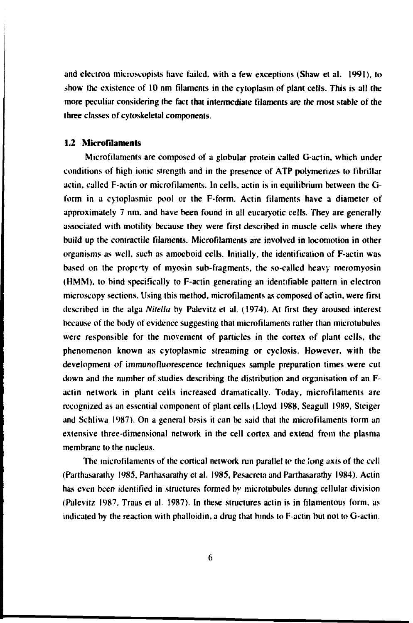and electron microscopists have failed, with a few exceptions (Shaw et al. I99I), to show the existence of 10 nm filaments in the cytoplasm of plant cells. This is all the more peculiar considering the fact that intermediate filaments are the most stable of the three classes of cytoskeletal components.

#### **1.2 Microfilaments**

Microfilaments are composed of a globular protein called G-actin, which under conditions of high ionic strength and in the presence of ATP polymerizes to fibrillar actin, called F-actin or microfilaments. In cells, actin is in equilibrium between the Gform in a cytoplasmic pool or the F-form. Actin filaments have a diameter of approximately 7 nm. and have been found in all eucaryotic cells. They are generally associated with motiiity because they were first described in muscle cells where they build up the contractile filaments. Microfilaments are involved in locomotion in other organisms as well, such as amoeboid cells. Initially, the identification of F-actin was based on the propciy of myosin sub-fragments, the so-called heavy meromyosin (HMM). to bind specifically to F-actin generating an identifiable pattern in electron microscopy sections. Using this method, microfllaments as composed of actin, were first described in the alga *Nitella* by Palevitz et al. (1974). At first they aroused interest because of the body of evidence suggesting that microfllaments rather than microtubuies were responsible for the movement of particles in the cortex of plant cells, the phenomenon known as cytoplasmic streaming or cyclosis. However, with the development *of* immunofluorescence techniques sample preparation times were cut down and the number of studies describing the distribution and organisation of an Factin network in plant cells increased dramatically. Today, microfilaments are recognized as an essential component of plant cells (Lloyd 1988, Seagull 1989, Steiger and Schliwa 1987). On a general bosis it can be said that the microfilaments form an extensive three-dimensional network in the cell cortex and extend from the plasma membrane to the nucleus.

The microfilaments of the cortical network run parallel to the long axis of the cell (Parthasarathy 1985, Parthasarathy etal. 1985, Pesacreta and Parthasarathy 1984). Actin has even been identified in structures formed by microtubuies during cellular division (Palevitz 1987, Träas et al. I987). In these structures actin is in filamentous form, as indicated by the reaction with phalloidin, a drug that binds to F-actin but not to G-actin.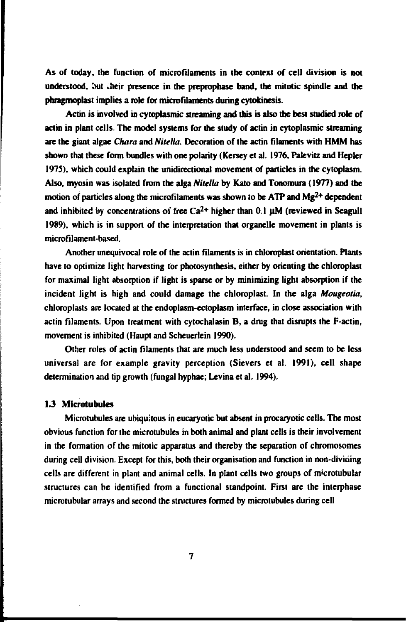**As of today, the function of microfilamenis in the context of cell division is not understood, out .heir presence in the preprophase band, the mitotic spindle and the phragmoplast implies a role for microfiiaments during cytokinesis.**

**Actin is involved in cytoplasmic streaming and this is also the best studied role of actin in plant cells. The model systems for the study of actin in cytoplasmic streaming are the giant algae** *Chara* **and** *Nitella.* **Decoration of the actin filaments with HMM has shown that these form bundles with one polarity (Kersey et al. 1976, Pakvitz and Hepler 1975), which could explain the unidirectional movement of particles in the cytoplasm. Also, myosin was isolated from the alga** *Nitella* **by Kato and Tonomura (1977) and the motion of particles along the microfiiaments was shown to be ATP and Mg2+ dependent and inhibited by concentrations of free Ca2+ higher than 0.1 uM (reviewed in Seagull 1989), which is in support of the interpretation that organelle movement in plants is microfi lament-based.**

**Another unequivocal role of the actin filaments is in chloroplast orientation. Plants have to optimize light harvesting tor photosynthesis, either by orienting the chloroplast for maximal light absorption if light is sparse or by minimizing light absorption if the incident light is high and could damage the chloroplast. In the alga** *Mougeotia,* **chloroplasts are located at the endoplasm-ectoplasm interface, in close association with actin filaments. Upon treatment with cytochalasin B, a drug that disrupts the F-actin, movement is inhibited (Haupt and Scheuerlein 1990).**

**Other roles of actin filaments that are much less understood and seem to be less universal are for example gravity perception (Sievers et al. 1991), cell shape determination and tip growth (fungal hyphae; Levina et al. 1994).**

### **1.3 Microtubules**

**Microtubules are ubiquitous in eucaryotic but absent in procaryotic cells. The most obvious function for the microtubules in both animal and plant cells is their involvement in the formation of the mitotic apparatus and thereby the separation of chromosomes during cell division. Except for this, both their organisation and function in non-dividing cells are different in plant and animal cells. In plant cells two groups of nvcrotubular structures can be identified from a functional standpoint. First are the interphase microtubular arrays and second the structures formed by microtubules during cell**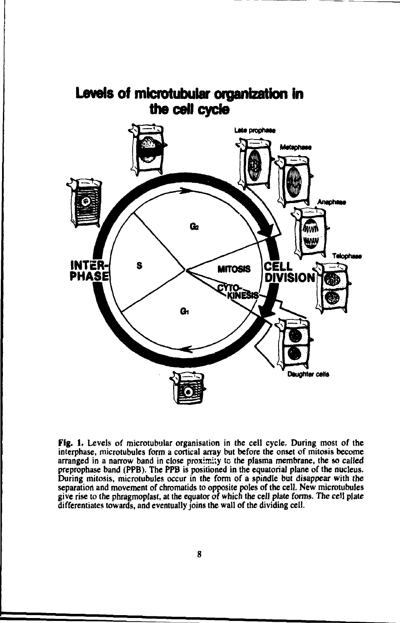

**Levels of microtubular organization in**

**Fig. 1. Levels of microtubular organisation in the cell cycle. During most of the interphase, microtubules form a cortical array but before the onset of mitosis become arranged in a narrow band in close proximity tc the plasma membrane, the so called preprophase band (PPB). The PPB is positioned in the equatorial plane of the nucleus. During mitosis, microtubules occur in the form of a spindle but disappear with the separation and movement of chromatids to opposite poles of the cell. New microtubules give rise to the phragmoplast, at the equator** *of* **which the cell plate forms. The cell plate differentiates towards, and eventually joins the wall of the dividing cell.**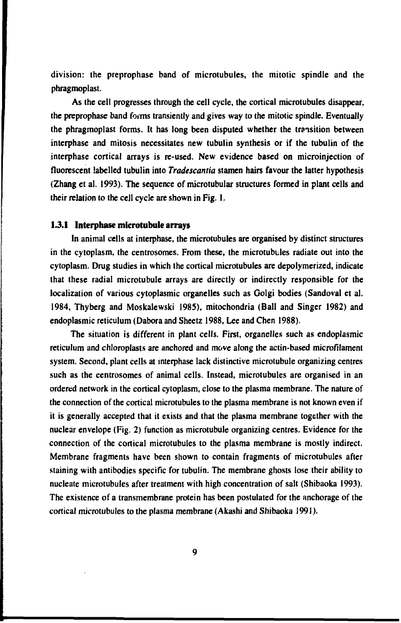division: the preprophase band of microtubules, the mitotic spindle and the phragmoplast.

As the cell progresses through the cell cycle, the cortical microtubules disappear, the preprophase band forms transiently and gives way to the mitotic spindle. Eventually the phragmoplast forms. It has long been disputed whether the transition between interphase and mitosis necessitates new tubulin synthesis or if the tubulin of the interphase cortical arrays is re-used. New evidence based on microinjection of fluorescent labelled tubulin into *Tradescantia* stamen hairs favour the latter hypothesis (Zhang et al. 1993). The sequence of microtubular structures formed in plant cells and their relation to the cell cycle are shown in Fig. 1.

#### **1 J.I Interphase microtubule arrays**

In animal cells at interphase, the microtubules are organised by distinct structures in the cytoplasm, the centrosomes. From these, the microtubules radiate out into the cytoplasm. Drug studies in which the cortical microtubules are depolymerized, indicate that these radial microtubule arrays are directly or indirectly responsible for the localization of various cytoplasmic organelies such as Golgi bodies (Sandoval et al. 1984, Thyberg and Moskalewski 1985), mitochondria (Ball and Singer 1982) and endoplasmic reticulum (Dabora and Sheetz 1988, Lee and Chen 1988).

The situation is different in plant cells. First, organelles such as endoplasmic reticulum and chloroplasts are anchored and move along the actin-based microfilament system. Second, plant cells at interphase lack distinctive microtubule organizing centres such as the centrosomes of animal cells. Instead, microtubules are organised in an ordered network in the cortical cytoplasm, close to the plasma membrane. The nature of the connection of the cortical microtubules to the plasma membrane is not known even if it is generally accepted that it exists and that the plasma membrane together with the nuclear envelope (Fig. 2) function as microtubule organizing centres. Evidence for the connection of the cortical microtubules to the plasma membrane is mostly indirect. Membrane fragments have been shown to contain fragments of microtubules after staining with antibodies specific for tubulin. The membrane ghosts lose their ability to nucleate microtubules after treatment with high concentration of salt (Shibaoka 1993). The existence of a transmembrane protein has been postulated for the anchorage of the cortical microtubules to the plasma membrane (Akashi and Shibaoka 1991).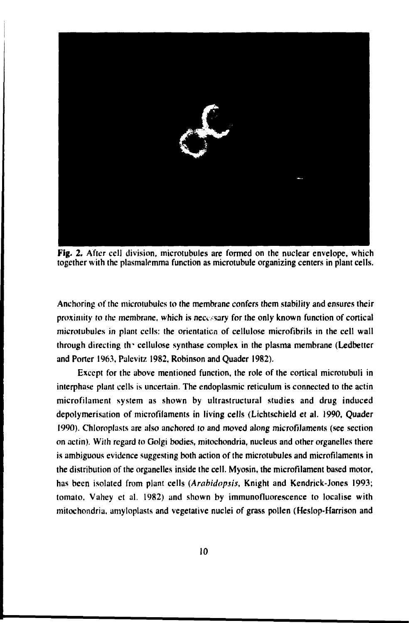

**Fig. 2. After cell division, microtubules are formed on the nuclear envelope, which together with the plasmalemma function as microtubule organizing centers in plant cells.**

**Anchoring of the microtubules to the membrane confers them stability and ensures their** proximity to the membrane, which is necessary for the only known function of cortical **microlubules in plant cells: the orientation of cellulose microfibrils in the cell wall through directing th' cellulose synthase complex in the plasma membrane (Ledbetter and Porter 1963, Palevitz 1982, Robinson and Quader 1982).**

**Except for the above mentioned function, the role of the cortical microtubuli in interphase plant cells is uncertain. The endoplasmic reticulum is connected to the actin microfilament system as shown by ultrastructural studies and drug induced depolymerisation of microfilaments in living cells (Lichtschield et al. 1990, Quader 1990). Chloroplasts are also anchored to and moved along microfiJaments (see section on actin). With regard to Golgi bodies, mitochondria, nucleus and other organelles there is ambiguous evidence suggesting both action of the microtubules and microfilaments in the distribution of the organelles inside the cell. Myosin, the microfilament based motor, has been isolated from plant cells** *(Arabidopsis,* **Knight and Kendrick-Jones 1993; tomato, Vahey et al. 1982) and shown by immunofluorescence to localise with mitochondria, amyloplasts and vegetative nuclei of grass pollen (Heslop-Harrison and**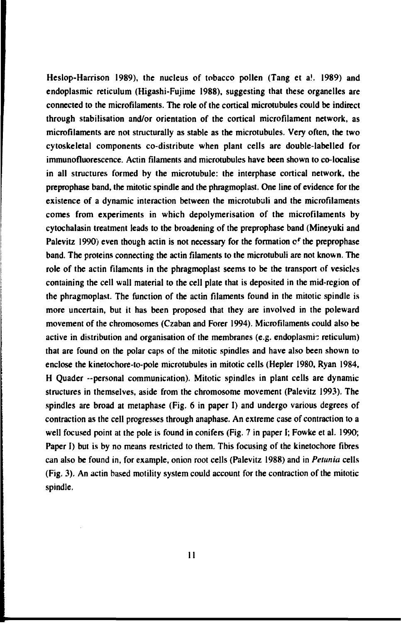**Heslop-Harrison 1989), the nucleus of tobacco pollen (Tang et a!. 1989) and endoplasmic reticulum (Higashi-Fujime 1988), suggesting that these organelies are connected to the microfilaments. The role of the cortical microtubules could be indirect through stabilisation and/or orientation of the cortical microfilament network, as microfilaments are not structurally as stable as the microtubules. Very often, the two cytoskeletal components co-distribute when plant cells are double-labelled for immunofluorescence. Actin filaments and microtubules have been shown to co-localise in all structures formed by the microtubule: the interphase cortical network, the preprophase band, the mitotic spindle and the phragmoplast. One line of evidence for the existence of a dynamic interaction between the microtubuli and the microfilaments comes from experiments in which depolymerisation of the microfilaments by cytochalasin treatment leads to the broadening of the preprophase band (Mineyuki and** Palevitz 1990) even though actin is not necessary for the formation of the preprophase **band. The proteins connecting the actin filaments to the microtubuli are not known. The role of the actin filaments in the phragmoplast seems to be the transport of vesicles containing the cell wall material to the cell plate that is deposited in the mid-region of the phragmoplast. The function of the actin filaments found in the mitotic spindle is more uncertain, but it has been proposed that they are involved in the poleward movement of the chromosomes (Czaban and Forer 1994). Microfilaments could also be active in distribution and organisation of the membranes (e.g. endoplasmic reticulum) that are found on the polar caps of the mitotic spindles and have also been shown to enclose the kinetochore-to-pole microtubules in mitotic cells (Hepler 1980, Ryan 1984, H Quader -personal communication). Mitotic spindles in plant cells are dynamic structures in themselves, aside from the chromosome movement (Palevitz 1993). The spindles are broad at metaphase (Fig. 6 in paper I) and undergo various degrees of contraction as the cell progresses through anaphase. An extreme case of contraction to a well focused point at the pole is found in conifers (Fig. 7 in paper I; Fowke et al. 1990; Paper I) but is by no means restricted to them. This focusing of the kinetochore fibres can also be found in, for example, onion root cells (Palevitz 1988) and in** *Petunia* **cells (Fig. 3). An actin based motility system could account for the contraction of the mitotic spindle.**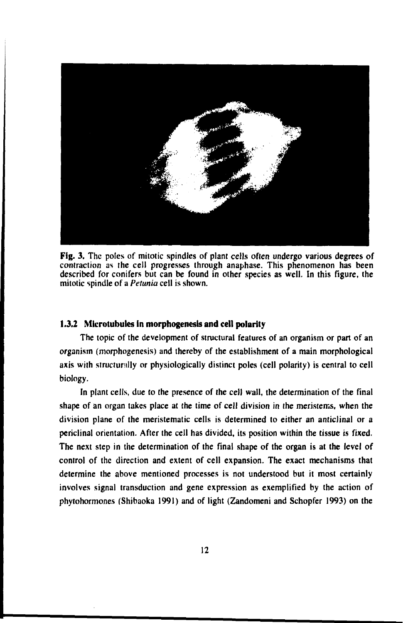

**Fig.** 3. The poles of mitotic spindles of plant cells often undergo various degrees of contraction as the cell progresses through anaphase. This phenomenon has been described for conifers but can be found in other species as well. In this figure, the mitotic spindle of a *Petunia* cell is shown.

### **1.3.2 Microtubules in morphogenesis and cell polarity**

The topic of the development of structural features of an organism or part of an organism (morphogenesis) and thereby of the establishment of a main morphological axis with structurally or physiologically distinct poles (cell polarity) is central to cell biology.

In plant cells, due to the presence of the cell wall, the determination of the final shape of an organ takes place at the time of cell division in the meristems, when the division plane of the meristematic cells is determined to either an anticlinal or a periclinal orientation. After the cell has divided, its position within the tissue is fixed. The next step in the determination of the final shape of the organ is at the level of control of the direction and extent of cell expansion. The exact mechanisms that determine the above mentioned processes is not understood but it most certainly involves signal transduction and gene expression as exemplified by the action of phytohormones (Shibaoka 1991) and of light (Zandomeni and Schopfer 1993) on the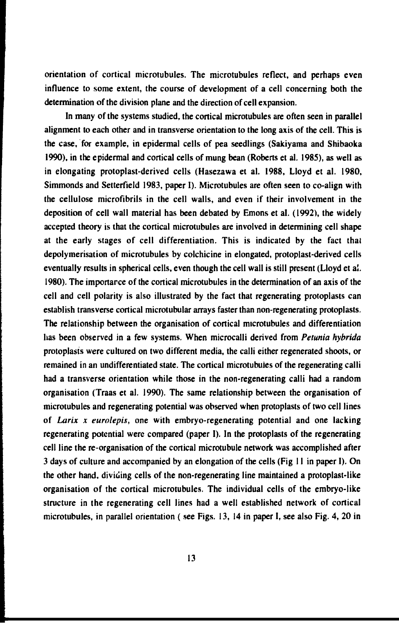**orientation of cortical microtubules. The microtubules reflect, and perhaps even influence to some extent, the course of development of a cell concerning both the determination of the division plane and the direction of cell expansion.**

**In many of the systems studied, the cortical microtubules are often seen in parallel alignment to each other and in transverse orientation to the long axis of the cell. This is the case, for example, in epidermal cells of pea seedlings (Sakiyama and Shibaoka 1990), in the epidermal and cortical cells of mung bean (Roberts et al. 198S), as well as in elongating protoplast-derived cells (Hasezawa et al. 1988, Lloyd et al. 1980, Simmonds and Setterfield 1983, paper I). Microtubules are often seen to co-align with the cellulose microfibrils in the cell walls, and even if their involvement in the deposition of cell wall material has been debated by Emons et al. (1992), the widely accepted theory is that the cortical microtubules are involved in determining cell shape at the early stages of cell differentiation. This is indicated by the fact that depolymerisation of microtubules by colchicine in elongated, protoplast-derived cells eventually results in spherical cells, even though the cell wall is still present (Lloyd et a!. 1980). The importance of the cortical microtubules in the determination of an axis of the cell and cell polarity is also illustrated by the fact that regenerating protoplasts can establish transverse cortical microtubular arrays faster than non-regenerating protoplasts. The relationship between the organisation of cortical microtubules and differentiation has been observed in a few systems. When microcalli derived from** *Petunia hybrida* **protoplasts were cultured on two different media, the calli either regenerated shoots, or remained in an undifferentiated state. The cortical microtubules of the regenerating calli had a transverse orientation while those in the non-regenerating calli had a random organisation (Träas et al. 1990). The same relationship between the organisation of microtubules and regenerating potential was observed when protoplasts of two cell lines of** *Larix x eurolepis,* **one with embryo-regenerating potential and one lacking regenerating potential were compared (paper I). In the protoplasts of the regenerating cell line the re-organisation of the cortical microtubule network was accomplished after 3 days of culture and accompanied by an elongation of the cells (Fig 11 in paper I). On the other hand, dividing cells of the non-regenerating line maintained a protoplast-like organisation of the cortical microtubules. The individual cells of the embryo-like structure in the regenerating cell lines had a well established network of cortical microtubules, in parallel orientation ( see Figs. 13, 14 in paper I, see also Fig. 4, 20 in**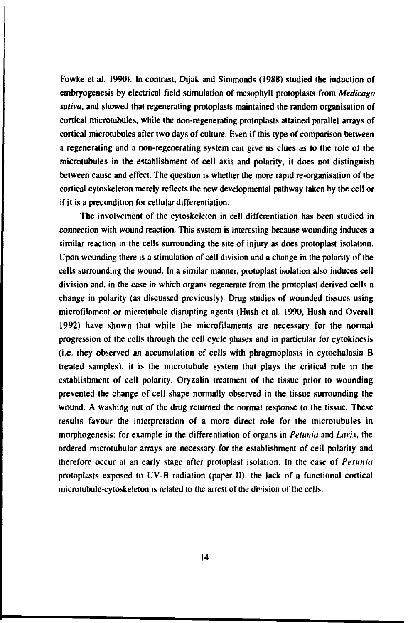**Fowke et al. 1990). In contrast, Dijak and Simmonds (1988) studied the induction of embryogenesis by electrical field stimulation of mesophyll protoplasts from** *Medicago saliva,* **and showed that regenerating protoplasts maintained the random organisation of cortical microtubules, while the non-regenerating protoplasts attained parallel arrays of cortical microtubules after two days of culture. Even if this type of comparison between a regenerating and a non-regenerating system can give us clues as to the role of the microtubules in the establishment of cell axis and polarity, it does not distinguish between cause and effect. The question is whether the more rapid re-organisation of the cortical cytoskeleton merely reflects the new developmental pathway taken by the cell or if it is a precondition for cellular differentiation.**

**The involvement of the cytoskeleton in cell differentiation has been studied in connection with wound reaction. This system is interesting because wounding induces a similar reaction in the cells surrounding the site of injury as does protoplast isolation. Upon wounding there is a stimulation of cell division and a change in the polarity of the cells surrounding the wound. In a similar manner, protoplast isolation also induces cell division and, in the case in which organs regenerate from the protoplast derived cells a change in polarity (as discussed previously). Drug studies of wounded tissues using microfilament or microtubule disrupting agents (Hush et al. 1990, Hush and Overall 1992) have shown that while the microfilaments are necessary for the normal progression of the cells through the cell cycle phases and in particular for cytokinesis (i.e. they observed an accumulation of cells with phragmoplasts in cytochalasin B treated samples), it is the microtubule system that plays the critical role in the establishment of cell polarity. Oryzalin treatment of the tissue prior to wounding prevented the change of cell shape normally observed in the tissue surrounding the wound. A washing out of (he drug returned the normal response to the tissue. These results favour the interpretation of a more direct role for the microtubules in morphogenesis: for example in the differentiation of organs in** *Petunia* **and** *Larix,* **the ordered microtubular arrays are necessary for the establishment of cell polarity and therefore occur at an early stage after protoplast isolation. In the case of** *Petunia* **protoplasts exposed to UV-B radiation (paper II), the lack of a functional cortical microtubule-cytoskeleton is related to the arrest of the division of the cells.**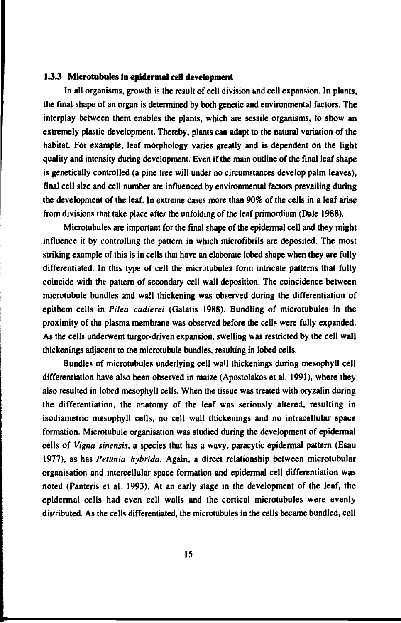### *133* **Microtubules in epidermal cell development**

In all organisms, growth is the result of cell division and cell expansion. In plants, the final shape of an organ is determined by both genetic and environmental factors. The interplay between them enables the plants, which are sessile organisms, to show an extremely plastic development. Thereby, plants can adapt to the natural variation of the habitat. For example, leaf morphology varies greatly and is dependent on the light quality and intensity during development. Even if the main outline of the final leaf shape is genetically controlled (a pine tree will under no circumstances develop palm leaves), final cell size and cell number are influenced by environmental factors prevailing during the development of the leaf. In extreme cases more than 90% of the cells in a leaf arise from divisions that take place after the unfolding of the leaf primordium (Dale 1988).

Microtubules are important for the final shape of the epidermal cell and they might influence it by controlling the pattern in which microfibrils are deposited. The most striking example of this is in cells that have an elaborate lobed shape when they are fully differentiated. In this type of cell the microtubules form intricate patterns that fully coincide with the pattern of secondary cell wall deposition. The coincidence between microtubule bundles and wall thickening was observed during the differentiation of epithem cells in *Pilea cadierei* (Galatis 1988). Bundling of microtubules in the proximity of the plasma membrane was observed before the cells were fully expanded. As the cells underwent turgor-driven expansion, swelling was restricted by the cell wall thickenings adjacent to the microtubule bundles, resulting in lobed cells.

Bundles of microtubules underlying cell wall thickenings during mesophyll cell differentiation have also been observed in maize (Apostolakos et al. 1991), where they also resulted in lobed mesophyll cells. When the tissue was treated with oryzalin during the differentiation, the anatomy of the leaf was seriously altered, resulting in isodiametric mesophyll cells, no cell wall thickenings and no intracellular space formation. Microtubule organisation was studied during the development of epidermal cells of *Vigna sinensis,* a species that has a wavy, paracytic epidermal pattern (Esau 1977), as has *Petunia hybrida.* Again, a direct relationship between microtubular organisation and intercellular space formation and epidermal cell differentiation was noted (Panteris et al. 1993). At an early stage in the development of the leaf, the epidermal cells had even cell walls and the cortical microtubules were evenly distributed. As the cells differentiated, the microtubules in the cells became bundled, cell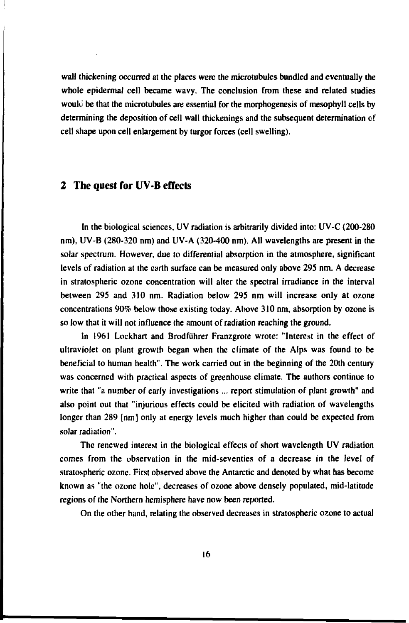**wall thickening occurred at the places were the microtubules bundled and eventually the whole epidermal cell became wavy. The conclusion from these and related studies would be that the microtubules are essential for the morphogenesis of mesophyll ceils by determining the deposition of cell wall thickenings and the subsequent determination cf cell shape upon cell enlargement by turgor forces (cell swelling).**

### **2 The quest for UV-B effects**

**In the biological sciences, UV radiation is arbitrarily divided into: UV-C (200-280 nm), UV-B (280-320 nm) and UV-A (320-400 nm). All wavelengths are present in the solar spectrum. However, due to differential absorption in the atmosphere, significant levels of radiation at the earth surface can be measured only above 295 nm. A decrease in stratospheric ozone concentration will alter the spectral irradiance in the interval between 295 and 310 nm. Radiation below 295 nm will increase only at ozone concentrations 90% below those existing today. Above 310 nm, absorption by ozone is so low that it will not influence the amount of radiation reaching the ground.**

**In 1961 Lockhart and Brodfiihrer Franzgrote wrote: "Interest in the effect of ultraviolet on plant growth began when the climate of the Alps was found to be beneficial to human health". The work carried out in the beginning of the 20th century was concerned with practical aspects of greenhouse climate. The authors continue to write that "a number of early investigations ... report stimulation of plant growth" and also point out that "injurious effects could be elicited with radiation of wavelengths longer than 289 [nm] only at energy levels much higher than could be expected from solar radiation".**

**The renewed interest in the biological effects of short wavelength UV radiation comes from the observation in the mid-seventies of a decrease in the level of stratospheric ozone. First observed above the Antarctic and denoted by what has become known as "the ozone hole", decreases of ozone above densely populated, mid-latitude regions of the Northern hemisphere have now been reported.**

**On the other hand, relating the observed decreases in stratospheric ozone to actual**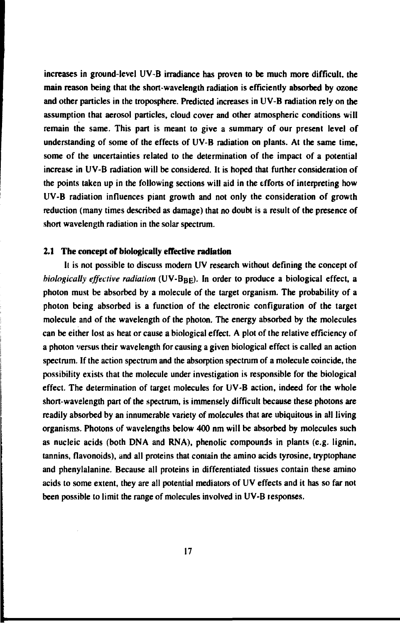increases in ground-level UV-B irradiance has proven to be much more difficult, the main reason being that the short-wavelength radiation is efficiently absorbed by ozone and other particles in the troposphere. Predicted increases in UV-B radiation rely on the assumption that aerosol particles, cloud cover and other atmospheric conditions will remain the same. This part is meant to give a summary of our present level of understanding of some of the effects of UV-B radiation on plants. At the same time, some of the uncertainties related to the determination of the impact of a potential increase in UV-B radiation will be considered. It is hoped that further consideration of the points taken up in the following sections will aid in the efforts of interpreting how UV-B radiation influences piant growth and not only the consideration of growth reduction (many times described as damage) that no doubt is a result of the presence of short wavelength radiation in the solar spectrum.

#### **2.1 The concept of biologically effective radiation**

It is not possible to discuss modern UV research without defining the concept of *biologically effective radiation* (UV-B<sub>BE</sub>). In order to produce a biological effect, a photon must be absorbed by a molecule of the target organism. The probability of a photon being absorbed is a function of the electronic configuration of the target molecule and of the wavelength of the photon. The energy absorbed by the molecules can be either lost as heat or cause a biological effect. A plot of the relative efficiency of a photon versus their wavelength for causing a given biological effect is called an action spectrum. If the action spectrum and the absorption spectrum of a molecule coincide, the possibility exists that the molecule under investigation is responsible for the biological effect. The determination of target molecules for UV-B action, indeed for the whole short-wavelength part of the spectrum, is immensely difficult because these photons are readily absorbed by an innumerable variety of molecules that are ubiquitous in all living organisms. Photons of wavelengths below 400 nm will be absorbed by molecules such as nucleic acids (both DNA and RNA), phenolic compounds in plants (e.g. lignin, tannins, flavonoids), and all proteins that contain the amino acids tyrosine, tryptophane and phenylalanine. Because all proteins in differentiated tissues contain these amino acids to some extent, they are all potential mediators of UV effects and it has so far not been possible to limit the range of molecules involved in UV-B responses.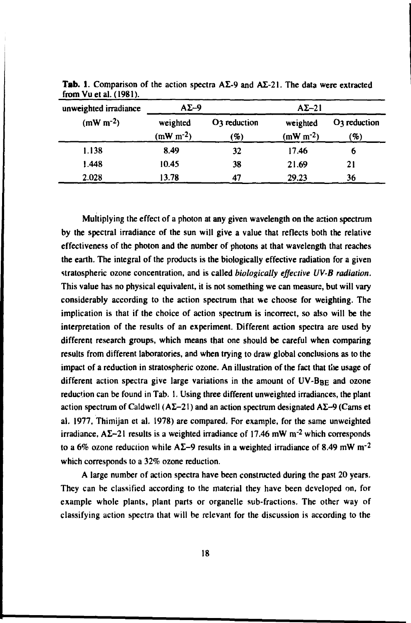| unweighted irradiance | $A\Sigma - 9$             |                                 | $A\Sigma - 21$         |                       |
|-----------------------|---------------------------|---------------------------------|------------------------|-----------------------|
| $(mW m-2)$            | weighted<br>$(mW m^{-2})$ | O <sub>3</sub> reduction<br>(%) | weighted<br>$(mW m-2)$ | $O3$ reduction<br>(%) |
| 1.138                 | 8.49                      | 32                              | 17.46                  | o                     |
| 1.448                 | 10.45                     | 38                              | 21.69                  | 21                    |
| 2.028                 | 13.78                     | 47                              | 29.23                  | 36                    |

**Tab.** 1. Comparison of the action spectra  $A\Sigma$ -9 and  $A\Sigma$ -21. The data were extracted from Vuetal. (1981).

Multiplying the effect of a photon at any given wavelength on the action spectrum by the spectral irradiance of the sun will give a value that reflects both the relative effectiveness of the photon and the number of photons at that wavelength that reaches the earth. The integral of the products is the biologically effective radiation for a given stratospheric ozone concentration, and is called *biologically effective UV-B radiation.* This value has no physical equivalent, it is not something we can measure, but will vary considerably according to the action spectrum that we choose for weighting. The implication is that if the choice of action spectrum is incorrect, so also will be the interpretation of the results of an experiment. Different action spectra are used by different research groups, which means that one should be careful when comparing results from different laboratories, and when trying to draw global conclusions as to the impact of a reduction in stratospheric ozone. An illustration of the fact that the usage of different action spectra give large variations in the amount of  $UV-B<sub>BE</sub>$  and ozone reduction can be found in Tab. 1. Using three different unweighted irradiances, the plant action spectrum of Caldwell ( $A\Sigma-21$ ) and an action spectrum designated  $A\Sigma-9$  (Cams et al. 1977, Thimijan et al. 1978) are compared. For example, for the same unweighted irradiance.  $A\Sigma - 21$  results is a weighted irradiance of 17.46 mW m<sup>-2</sup> which corresponds to a 6% ozone reduction while A $\Sigma$ –9 results in a weighted irradiance of 8.49 mW m<sup>-2</sup> which corresponds to a 32% ozone reduction.

A large number of action spectra have been constructed during the past 20 years. They can be classified according to the material they have been developed on, for example whole plants, plant parts or organdie sub-fractions. The other way of classifying action spectra that will be relevant for the discussion is according to the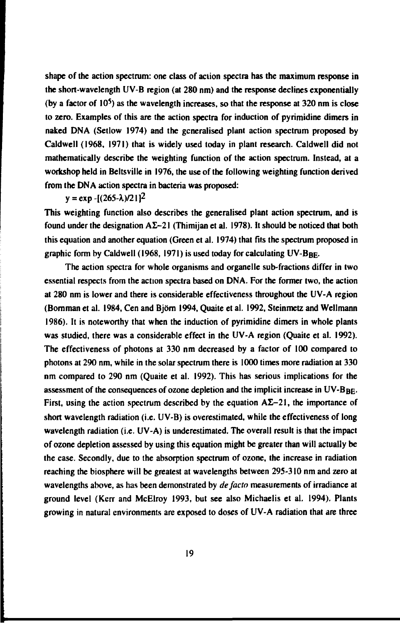**shape of the action spectrum: one class of action spectra has the maximum response in the short-wavelength UV-B region (at 280 nm) and the response declines exponentially (by a factor of 10') as the wavelength increases, so that the response at 320 nm is close to zero. Examples of this are the action spectra for induction of pyrimidine dimers in naked DNA (Setlow 1974) and the generalised plant action spectrum proposed by Caldwell (1968, 1971) that is widely used today in plant research. Caldwell did not mathematically describe the weighting function of the action spectrum. Instead, at a workshop held in Beltsville in 1976, the use of the following weighting function derived from the DNA action spectra in bacteria was proposed:**

## $y = exp -[(265-\lambda)/2]$ <sup>2</sup>

**This weighting function also describes the generalised plant action spectrum, and is** found under the designation  $A\Sigma - 21$  (Thimijan et al. 1978). It should be noticed that both **this equation and another equation (Green et al. 1974) that fits the spectrum proposed in** graphic form by Caldwell (1968, 1971) is used today for calculating UV-B<sub>BE</sub>.

**The action spectra for whole organisms and organelle sub-fractions differ in two essential respects from the action spectra based on DNA. For the former two, the action at 280 nm is lower and there is considerable effectiveness throughout the UV-A region (Bornman et al. 1984, Cen and Björn 1994, Quaite et al. 1992, Steinmetz and Wellmann 1986). It is noteworthy that when the induction of pyrimidine dimers in whole plants was studied, there was a considerable effect in the UV-A region (Quaite et al. 1992). The effectiveness of photons at 330 nm decreased by a factor of 100 compared to photons at 290 nm, while in the solar spectrum there is 1000 times more radiation at 330 nm compared to 290 nm (Quaite et al. 1992). This has serious implications for the** assessment of the consequences of ozone depletion and the implicit increase in UV-B<sub>BE</sub>. First, using the action spectrum described by the equation  $A\Sigma-21$ , the importance of **short wavelength radiation (i.e. UV-B) is overestimated, while the effectiveness of long wavelength radiation (i.e. UV-A) is underestimated. The overall result is that the impact of ozone depletion assessed by using this equation might be greater than will actually be the case. Secondly, due to the absorption spectrum of ozone, the increase in radiation reaching the biosphere will be greatest at wavelengths between 295-310 nm and zero at wavelengths above, as has been demonstrated by** *de facto* **measurements of irradiance at ground level (Kcrr and McElroy 1993, but see also Michaelis et al. 1994). Plants growing in natural environments are exposed to doses of UV-A radiation that are three**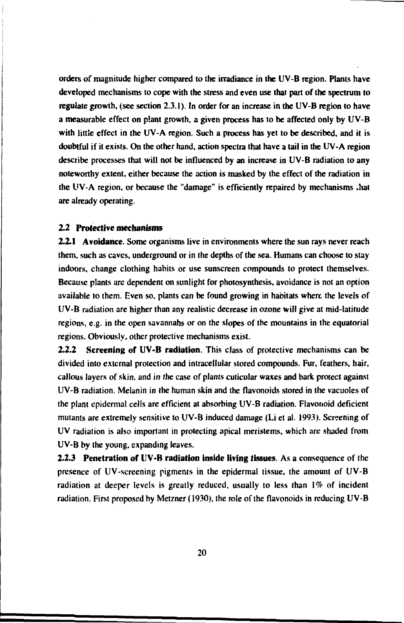orders of magnitude higher compared to the irradiance in the UV-B region. Plants have developed mechanisms to cope with the stress and even use **that** part of **the** spectrum to regulate growth, (see section 2.3.1). In order for an increase in the UV-B region to have a measurable effect on plant growth, a given process has to be affected only by UV-B with little effect in the UV-A region. Such a process has yet to be described, and it is doubtful if it exists. On the other hand, action spectra that have a tail in the UV-A region describe processes that will not be influenced by an increase in UV-B radiation to any noteworthy extent, either because the action is masked by the effect of the radiation in the UV-A region, or because the "damage" is efficiently repaired by mechanisms .hat are already operating.

#### **2.2 Protective mechanisms**

**2.2.1 Avoidance.** Some organisms live in environments where the sun rays never reach them, such as caves, underground or in the depths of the sea. Humans can choose to stay indoors, change clothing habits or use sunscreen compounds to protect themselves. Because plants are dependent on sunlight for photosynthesis, avoidance is not an option available to them. Even so, plants can be found growing in habitats where the levels of UV-B radiation are higher than any realistic decrease in ozone will give at mid-latitude regions, e.g. in the open savannahs or on the slopes of the mountains in the equatorial regions. Obviously, other protective mechanisms exist.

**2.2.2 Screening of UV-B radiation.** This class of protective mechanisms can be divided into external protection and intracellular stored compounds. Fur, feathers, hair, callous layers of skin, and in the case of plants cuticular waxes and bark protect against UV-B radiation. Melanin in the human skin and the flavonoids stored in the vacuoles of the plant epidermal cells are efficient at absorbing UV-B radiation. Flavonoid deficient mutants are extremely sensitive to UV-B induced damage (Li et al. 1993). Screening of UV radiation is also important in protecting apical meristems, which are shaded from UV-B by the young, expanding leaves.

**2.2.3 Penetration of UV-B radiation inside living tissues.** As a consequence of the presence of UV-screening pigments in the epidermal tissue, the amount of UV-B radiation at deeper levels is greatly reduced, usually to less than *\%* of incident radiation. First proposed by Metzner (1930), the role of the flavonoids in reducing UV-B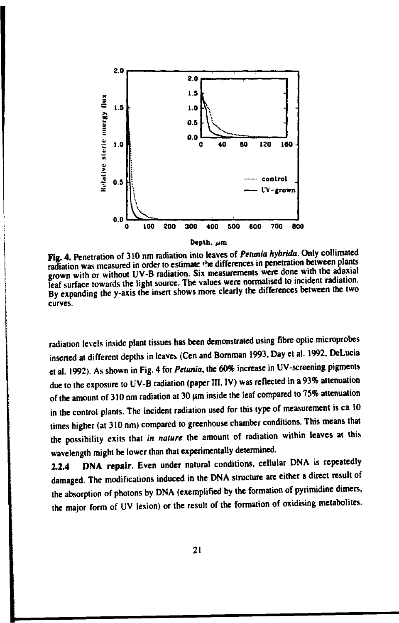

**Fta. 4. Penetration of 310 nm radiation into leaves of** *Petunia hybrida.* **Only collimated radiation was measured in order to estimate 'he differences in penetration between plants crown with or without UV-B radiation. Six measurements were done with the adaxial leaf surface towards the light source. The values were normalised to incident radiation. By expanding the y-axis the insert shows more clearly the differences between the two curves.**

**radiation levels inside plant tissues has been demonstrated using fibre optic microprobes** inserted at different depths in leaves (Cen and Bomman 1993, Day et al. 1992, DeLucia **et al. 1992). As shown in Fig. 4 for** *Petunia,* **the 60% increase in UV-screening pigments due to the exposure to UV-B radiation (paper III, IV) was reflected in a 93% attenuation of the amount of 310 nm radiation at 30 Jim inside the leaf compared to 75% attenuation in the control plants. The incident radiation used for this type of measurement is ca 10 times higher (at 310 nm) compared to greenhouse chamber conditions. This means that the possibility exits that** *in nature* **the amount of radiation within leaves at this wavelength might be lower than that experimentally determined.**

**2.2.4 DNA repair. Even under natural conditions, cellular DNA is repeatedly damaged. The modifications induced in the DNA structure are either a direct result of the absorption of photons by DNA (exemplified by the formation of pyrimidine dimers, the major form of UV lesion) or the result of the formation of oxidising metabolites.**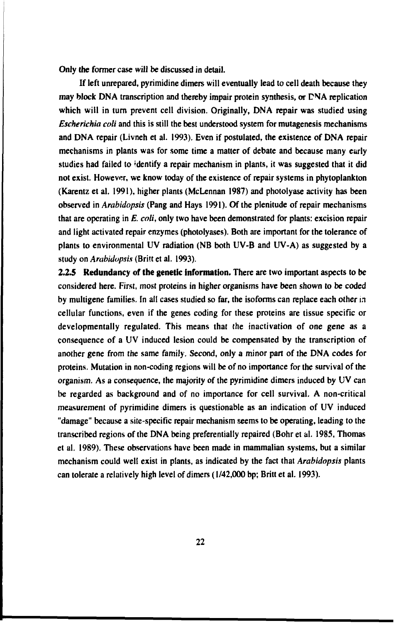Only the former case will be discussed in detail.

If left unrepared, pyrimidine dimers will eventually lead to cell death because they may block DNA transcription and thereby impair protein synthesis, or CNA replication which will in turn prevent cell division. Originally, DNA repair was studied using *Escherichia coli* and this is still the best understood system for mutagenesis mechanisms and DNA repair (Livneh et al. 1993). Even if postulated, the existence of DNA repair mechanisms in plants was for some time a matter of debate and because many early studies had failed to 'dentify a repair mechanism in plants, it was suggested that it did not exist. However, we know today of the existence of repair systems in phytoplankton (Karentz et al. 1991), higher plants (McLennan 1987) and photolyase activity has been observed in *Arabidopsis* (Pang and Hays 1991). Of the plenitude of repair mechanisms that are operating in *E. coli,* only two have been demonstrated for plants: excision repair and light activated repair enzymes (photolyases). Both are important for the tolerance of plants to environmental UV radiation (NB both UV-B and UV-A) as suggested by a study on *Arabidopsis* (Britt et al. 1993).

**2.2.5 Redundancy of the genetic information.** There are two important aspects to be considered here. First, most proteins in higher organisms have been shown to be coded by multigene families. In all cases studied so far, the isoforms can replace each other in cellular functions, even if the genes coding for these proteins are tissue specific or developmentally regulated. This means that the inactivation of one gene as a consequence of a UV induced lesion could be compensated by the transcription of another gene from the same family. Second, only a minor part of the DNA codes for proteins. Mutation in non-coding regions will be of no importance for the survival of the organism. As a consequence, the majority of the pyrimidine dimers induced by UV can be regarded as background and of no importance for cell survival. A non-critical measurement of pyrimidine dimers is questionable as an indication of UV induced "damage" because a site-specific repair mechanism seems to be operating, leading to the transcribed regions of the DNA being preferentially repaired (Bohr et al. 1985, Thomas et al. 1989). These observations have been made in mammalian systems, but a similar mechanism could well exist in plants, as indicated by the fact that *Arabidopsis* plants can tolerate a relatively high level of dimers (1/42,000 bp; Britt et al. 1993).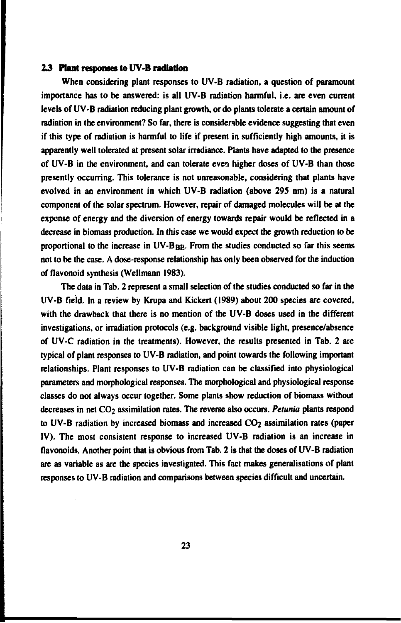#### **1 3 Plant** responses **to UV-B radiation**

When considering plant responses to UV-B radiation, a question of paramount importance has to be answered: is all UV-B radiation harmful, i.e. are even current levels of UV-B radiation reducing plant growth, or do plants tolerate a certain amount of radiation in the environment? So far, there is considerable evidence suggesting that even if this type of radiation is harmful to life if present in sufficiently high amounts, it is apparently well tolerated at present solar irradiance. Plants have adapted to the presence of UV-B in the environment, and can tolerate even higher doses of UV-B than those presently occurring. This tolerance is not unreasonable, considering that plants have evolved in an environment in which UV-B radiation (above 295 nm) is a natural component of the solar spectrum. However, repair of damaged molecules will be at the expense of energy and the diversion of energy towards repair would be reflected in a decrease in biomass production. In this case we would expect the growth reduction to be proportional to the increase in  $UV-B_{BE}$ . From the studies conducted so far this seems not to be the case. A dose-response relationship has only been observed for the induction of flavonoid synthesis (Wellmann 1983).

The data in Tab. 2 represent a small selection of the studies conducted so far in the UV-B field. In a review by Krupa and Kickert (1989) about 200 species are covered, with the drawback that there is no mention of the UV-B doses used in the different investigations, or irradiation protocols (e.g. background visible light, presence/absence of UV-C radiation in the treatments). However, the results presented in Tab. 2 are typical of plant responses to UV-B radiation, and point towards the following important relationships. Plant responses to UV-B radiation can be classified into physiological parameters and morphological responses. The morphological and physiological response classes do not always occur together. Some plants show reduction of biomass without decreases in net CO<sub>2</sub> assimilation rates. The reverse also occurs. *Petunia* plants respond to UV-B radiation by increased biomass and increased  $CO<sub>2</sub>$  assimilation rates (paper IV). The most consistent response to increased UV-B radiation is an increase in flavonoids. Another point that is obvious from Tab. 2 is that the doses of UV-B radiation are as variable as are the species investigated. This fact makes generalisations of plant responses to UV-B radiation and comparisons between species difficult and uncertain.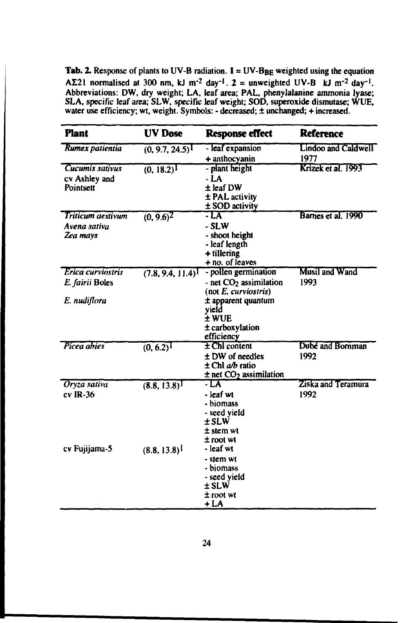**Tab.** 2. Response of plants to UV-B radiation.  $I = UV-B_{BE}$  weighted using the equation  $A\Sigma$ 21 normalised at 300 nm, kJ m<sup>-2</sup> day<sup>-1</sup>, 2 = unweighted UV-B kJ m<sup>-2</sup> day<sup>-1</sup>. Abbreviations: DW, dry weight; LA, leaf area; PAL, phenylalanine ammonia lyase; SLA, specific leaf area; SLW, specific leaf weight; SOD, superoxide dismutase; WUE, water use efficiency; wt, weight. Symbols: - decreased; ± unchanged; + increased.

| <b>Plant</b>                                  | <b>UV</b> Dose          | <b>Response effect</b>                                                                                | Reference                     |
|-----------------------------------------------|-------------------------|-------------------------------------------------------------------------------------------------------|-------------------------------|
| Rumex patientia                               | (0, 9.7, 24.5)          | - leaf expansion<br>+ anthocyanin                                                                     | Lindoo and Caldwell<br>1977   |
| Cucumis sativus<br>cv Ashley and<br>Pointsett | (0, 18.2)               | - plant height<br>- LA<br>± leaf DW<br>± PAL activity<br>± SOD activity                               | Krizek et al. 1993            |
| Triticum aestivum<br>Avena sativa<br>Zea mays | $(0, 9.6)^2$            | - LA<br>- SLW<br>- shoot height<br>- leaf length<br>$+$ tillering<br>+ no. of leaves                  | Barnes et al. 1990            |
| Erica curviostris<br>E. fairii Boles          | (7.8, 9.4, 11.4)        | - pollen germination<br>- net CO <sub>2</sub> assimilation<br>$($ not $E$ . curviostris $)$           | <b>Musil and Wand</b><br>1993 |
| E. nudiflora                                  |                         | $\pm$ apparent quantum<br>yield<br>± WUE<br>± carboxylation<br>efficiency                             |                               |
| Picea abies                                   | $\overline{(0, 6.2)^1}$ | $\pm$ ChI content<br>± DW of needles<br>$\pm$ Chl a/b ratio<br>$\pm$ net CO <sub>2</sub> assimilation | Dubé and Bornman<br>1992      |
| Oryza sativa<br>$cv$ IR-36                    | (8.8, 13.8)             | - LA<br>- leaf wt<br>- biomass<br>- seed yield<br>± SLW<br>± stem wt<br>± root wt                     | Ziska and Teramura<br>1992    |
| cv Fujijama-5                                 | (8.8, 13.8)             | - leaf wt<br>- stem wt<br>- biomass<br>- seed yield<br>± SLW<br>$±$ root wt<br>+ LA                   |                               |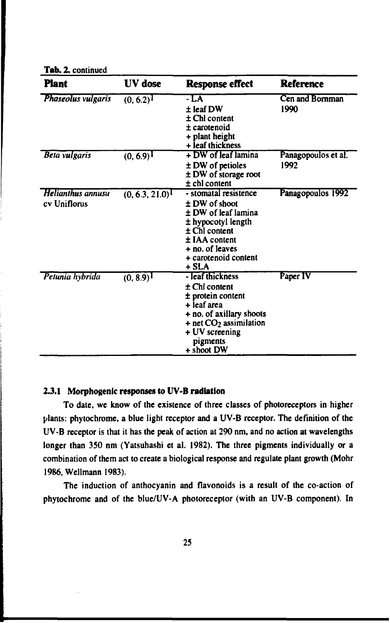**Tab.** 2. continued

| <b>Plant</b>                      | IIV dose                | <b>Response effect</b>                                                                                                                                                                  | <b>Reference</b>            |
|-----------------------------------|-------------------------|-----------------------------------------------------------------------------------------------------------------------------------------------------------------------------------------|-----------------------------|
| Phaseolus vulgaris                | $(0, 6.2)^1$            | - LA<br>$±$ leaf DW<br>$\pm$ Chl content<br>$\pm$ carotenoid<br>+ plant height<br>+ leaf thickness                                                                                      | Cen and Bornman<br>1990     |
| <b>Beta vulgaris</b>              | $(0, 6.9)^{\mathbf{I}}$ | + DW of leaf lamina<br>$±\,DW$ of petioles<br>± DW of storage root<br>$±$ chl content                                                                                                   | Panagopoulos et al.<br>1992 |
| Helianthus annusu<br>cv Uniflorus | $(0, 6.3, 21.0)^T$      | - stomatal resistence<br>$±$ DW of shoot<br>$\pm$ DW of leaf lamina<br>± hypocotyl length<br>$\pm$ Chl content<br>$±$ IAA content<br>+ no. of leaves<br>+ carotenoid content<br>$+ SLA$ | Panagopoulos 1992           |
| Petunia hybrida                   | $(0, 8.9)$ <sup>1</sup> | - leaf thickness<br>$\pm$ Chl content<br>$±$ protein content<br>+ leaf area<br>+ no. of axillary shoots<br>$+$ net $CO2$ assimilation<br>+ UV screening<br>pigments<br>+ shoot DW       | Paper IV                    |

#### **2.3.1 Morphogenic responses to UV-B radiation**

To date, we know of the existence of three classes of photoreceptors in higher plants: phytochrome, a blue light receptor and a UV-B receptor. The definition of the UV-B receptor is that it has the peak of action at 290 nm, and no action at wavelengths longer than 350 nm (Yatsuhashi et al. 1982). The three pigments individually or a combination of them act to create a biological response and regulate plant growth (Mohr 1986, Wellmann 1983).

The induction of anthocyanin and flavonoids is a result of the co-action of phytochrome and of the blue/UV-A photoreceptor (with an UV-B component). In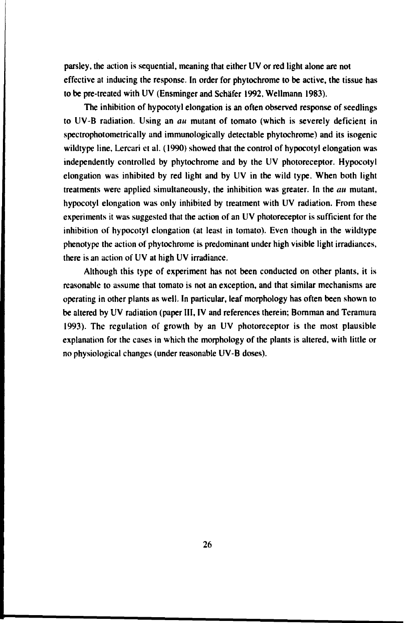**parsley, the action is sequential, meaning that either UV or red light alone are not effective at inducing the response. In order for phytochrome to be active, the tissue has to be pre-treated with UV (Ensminger and Schäfer 1992, Wellmann 1983).**

**The inhibition of hypocotyl elongation is an often observed response of seedlings to UV-B radiation. Using an** *au* **mutant of tomato (which is severely deficient in spectrophotometrically and immunologically detectable phytochrome) and its isogenic wildtype line, Lercari et al. (1990) showed that the control of hypocotyl elongation was independently controlled by phytochrome and by the UV photoreceptor. Hypocotyl elongation was inhibited by red light and by UV in the wild type. When both light treatments were applied simultaneously, the inhibition was greater. In the** *au* **mutant, hypocotyl elongation was only inhibited by treatment with UV radiation. From these experiments it was suggested that the action of an UV photoreceptor is sufficient for the inhibition of hypocotyl elongation (at least in tomato). Even though in the wildtype phenotype the action of phytochrome is predominant under high visible light irradiances, there is an action of UV at high UV irradiance.**

**Although this type of experiment has not been conducted on other plants, it is reasonable to assume that tomato is not an exception, and that similar mechanisms are operating in other plants as well. In particular, leaf morphology has often been shown to be altered by UV radiation (paper III, IV and references therein; Bornman and Teramura 1993). The regulation of growth by an UV photoreceptor is the most plausible explanation for the cases in which the morphology of the plants is altered, with little or no physiological changes (under reasonable UV-B doses).**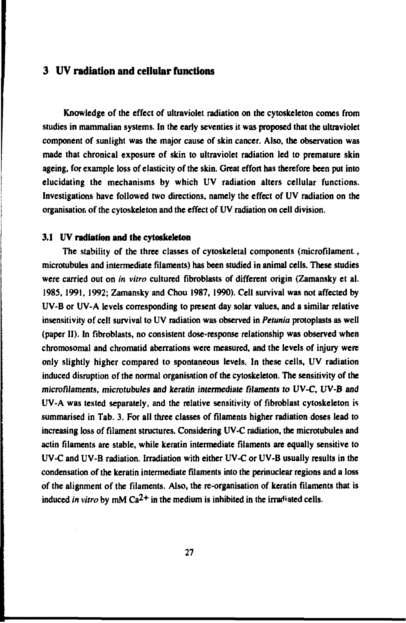## **3 UV radiation and cellular functions**

Knowledge of the effect of ultraviolet radiation on the cytoskeleton comes from studies in mammalian systems. In the early seventies it was proposed that the ultraviolet component of sunlight was the major cause of skin cancer. Also, the observation was made that chronical exposure of skin to ultraviolet radiation led to premature skin ageing, for example loss of elasticity of the skin. Great effort has therefore been put into elucidating the mechanisms by which UV radiation alters cellular functions. Investigations have followed two directions, namely the effect of UV radiation on the organisation of the cytoskeleton and the effect of UV radiation on cell division.

#### **3.1** UV **radiation and the cytoskeleton**

The stability of the three classes of cytoskeietal components (microfilament., microtubules and intermediate filaments) has been studied in animal cells. These studies were carried out on *in vitro* cultured fibroblasts of different origin (Zamansky et al. 1985, 1991, 1992; Zamansky and Chou 1987, 1990). Cell survival was not affected by UV-B or UV-A levels corresponding to present day solar values, and a similar relative insensitivity of cell survival to UV radiation was observed in *Petunia* protoplasts as well (paper II). In fibroblasts, no consistent dose-response relationship was observed when chromosomal and chromatid aberrations were measured, and the levels of injury were only slightly higher compared to spontaneous levels. In these cells, UV radiation induced disruption of the normal organisation of the cytoskeleton. The sensitivity of the microfilaments, microtubules and keratin intermediate filaments to *UV-C,* UV-B and UV-A was tested separately, and the relative sensitivity of fibroblast cytoskeleton is summarised in Tab. 3. For all three classes of filaments higher radiation doses lead to increasing loss of filament structures. Considering UV-C radiation, the microtubules and actin filaments are stable, while keratin intermediate filaments are equally sensitive to UV-C and UV-B radiation. Irradiation with either UV-C or UV-B usually results in the condensation of the keratin intermediate filaments into the perinuclear regions and a loss of the alignment of the filaments. Also, the re-organisation of keratin filaments that is induced *in vitro* by mM  $Ca^{2+}$  in the medium is inhibited in the irradiated cells.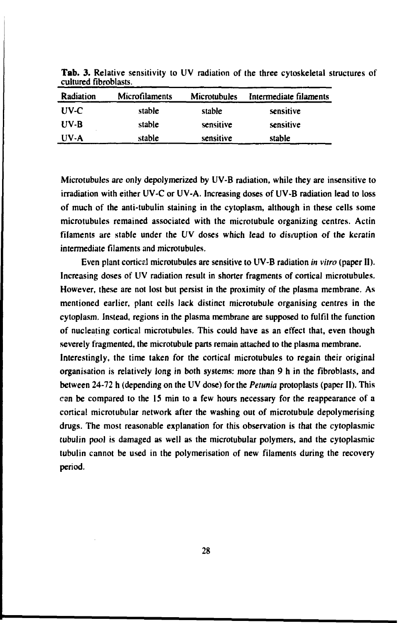| Radiation | Microfilaments | <b>Microtubules</b> | Intermediate filaments |
|-----------|----------------|---------------------|------------------------|
| $UV-C$    | stable         | stable              | sensitive              |
| $UV-B$    | stable         | sensitive           | sensitive              |
| $UV-A$    | stable         | sensitive           | stable                 |

**Tab.** 3. Relative sensitivity to UV radiation of the three cytoskeletal structures of cultured fibroblasts.

Microtubules are only depolymerized by UV-B radiation, while they are insensitive to irradiation with either UV-C or UV-A. Increasing doses of UV-B radiation lead to loss of much of the anti-tubulin staining in the cytoplasm, although in these cells some microtubules remained associated with the microtubule organizing centres. Actin filaments are stable under the UV doses which lead to disruption of the keratin intermediate filaments and microtubules.

Even plant corticd microtubules are sensitive to UV-B radiation *in vitro* (paper II). Increasing doses of UV radiation result in shorter fragments of cortical microtubules. However, these are not lost but persist in the proximity of the plasma membrane. As mentioned earlier, plant cells lack distinct microtubule organising centres in the cytoplasm. Instead, regions in the plasma membrane are supposed to fulfil the function of nucleating cortical microtubules. This could have as an effect that, even though severely fragmented, the microtubule parts remain attached to the plasma membrane.

Interestingly, the time taken for the cortical microtubules to regain their original organisation is relatively long in both systems: more than 9 h in the fibroblasts, and between 24-72 h (depending on the UV dose) for the *Petunia* protoplasts (paper II). This can be compared to the IS min to a few hours necessary for the reappearance of a cortical microtubular network after the washing out of microtubule depolymerising drugs. The most reasonable explanation for this observation is that the cytoplasmic tubulin pool is damaged as well as the microtubular polymers, and the cytoplasmic tubulin cannot be used in the polymerisation of new filaments during the recovery period.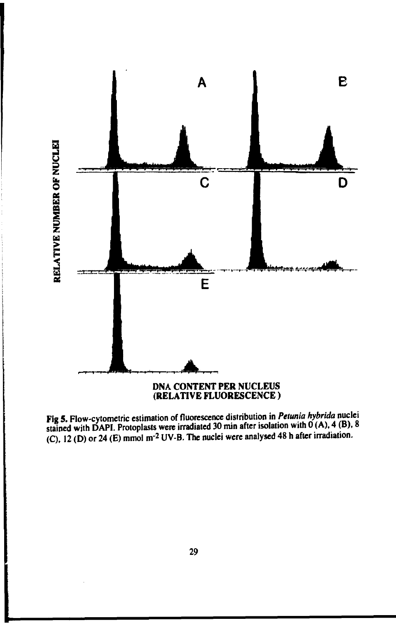

**Fig 5.** Flow-cytometric estimation of fluorescence distribution in *Petunia hybrida* nuclei stained with **DAPI.** Protoplasts were irradiated 30 min after isolation with 0 (A), 4 (B), 8 (C), 12 (D) or 24 (E) mmol m<sup>-2</sup> UV-B. The nuclei were analysed 48 h after irradiation.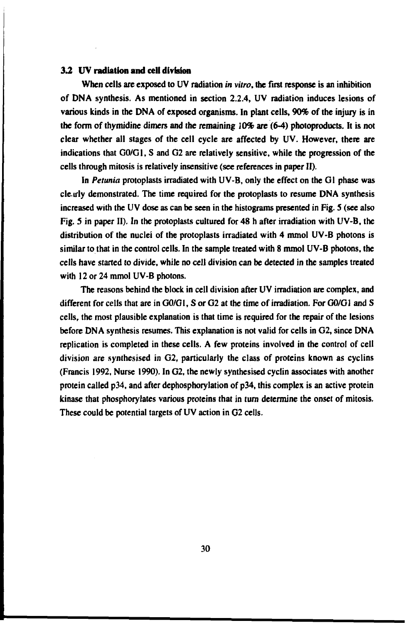#### **3.2 UV radiation and ceU division**

When cells are exposed to UV radiation *in vitro,* the first response is an inhibition of DNA synthesis. As mentioned in section 2.2.4, UV radiation induces lesions of various kinds in the DNA of exposed organisms. In plant cells, 90% of the injury is in the form of thymidine dimers and the remaining 10% are (6-4) photoproducts. It is not clear whether all stages of the cell cycle are affected by UV. However, there are indications that G0/G1, S and G2 are relatively sensitive, while the progression of the cells through mitosis is relatively insensitive (see references in paper II).

In *Petunia* protoplasts irradiated with UV-B, only the effect on the Gl phase was clearly demonstrated. The time required for the protoplasts to resume DNA synthesis increased with the UV dose as can be seen in the histograms presented in Fig. 5 (see also Fig. 5 in paper II). In the protoplasts cultured for 48 h after irradiation with UV-B, the distribution of the nuclei of the protoplasts irradiated with 4 mmol UV-B photons is similar to that in the control cells. In the sample treated with 8 mmol UV-B photons, the cells have started to divide, while no cell division can be detected in the samples treated with 12 or 24 mmol UV-B photons.

The reasons behind the block in cell division after UV irradiation are complex, and different for cells that are in GO/G1, S or G2 at the time of irradiation. For GO/G1 and S cells, the most plausible explanation is that time is required for the repair of the lesions before DNA synthesis resumes. This explanation is not valid for cells in G2, since DNA replication is completed in these cells. A few proteins involved in the control of cell division are synthesised in G2, particularly the class of proteins known as cyclins (Francis 1992, Nurse 1990). In G2, the newly synthesised cyclin associates with another protein called p34, and after dephosphorylation of p34, this complex is an active protein kinase that phosphoryiates various proteins that in turn determine the onset of mitosis. These could be potential targets of UV action in G2 cells.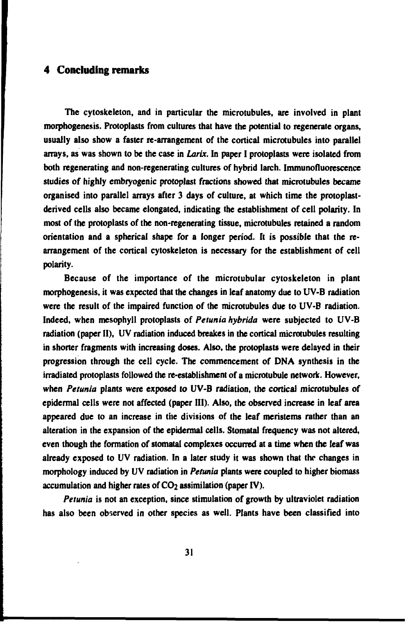## **4 Concluding remarks**

**The cytoskeleton, and in particular the microtubules, are involved in plant morphogenesis. Protoplasts from cultures that have the potential to regenerate organs, usually also show a faster re-arrangement of the cortical microtubules into parallel arrays, as was shown to be the case in** *Larix.* **In paper I protoplasts were isolated from both regenerating and non-regenerating cultures of hybrid larch. Immunofluorescence studies of highly embryogenic protoplast fractions showed that microtubules became organised into parallel arrays after 3 days of culture, at which time the protoplastderived cells also became elongated, indicating the establishment of cell polarity. In most of the protoplasts of the non-regenerating tissue, microtubules retained a random orientation and a spherical shape for a longer period. It is possible that the rearrangement of the cortical cytoskeleton is necessary for the establishment of cell polarity.**

**Because of the importance of the microtubular cytoskeleton in plant morphogenesis, it was expected that the changes in leaf anatomy due to UV-B radiation were the result of the impaired function of the microtubules due to UV-B radiation. Indeed, when mesophyll protoplasts of** *Petunia hybrida* **were subjected to UV-B radiation (paper II), UV radiation induced breakes in the cortical microtubules resulting in shorter fragments with increasing doses. Also, the protoplasts were delayed in their progression through the cell cycle. The commencement of DNA synthesis in the irradiated protoplasts followed the re-establishment of a microtubule network. However, when** *Petunia* **plants were exposed** *to* **UV-B radiation, the cortical microtubules of epidermal cells were not affected (paper III). Also, the observed increase in leaf area appeared due to an increase in the divisions of the leaf meristems rather than an alteration in the expansion of the epidermal cells. Stomatal frequency was not altered, even though the formation of stomatal complexes occurred at a time when the leaf was already exposed to UV radiation. In a later study it was shown that the changes in morphology induced by UV radiation in** *Petunia* **plants were coupled to higher biomass** accumulation and higher rates of CO<sub>2</sub> assimilation (paper IV).

*Petunia* **is not an exception, since stimulation of growth by ultraviolet radiation has also been observed in other species as well. Plants have been classified into**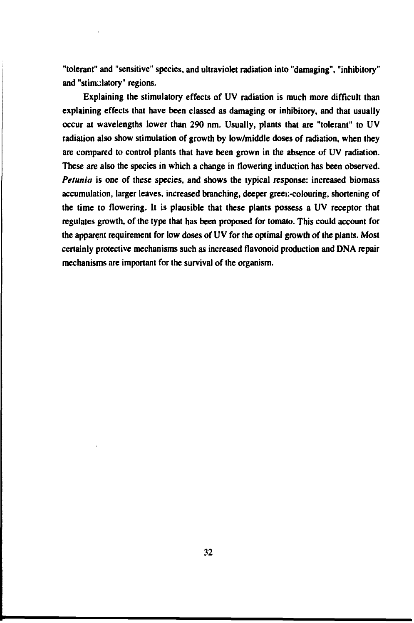**"tolerant" and "sensitive" species, and ultraviolet radiation into "damaging", "inhibitory" and "stimulatory" regions.**

**Explaining the stimulatory effects of UV radiation is much more difficult than explaining effects that have been classed as damaging or inhibitory, and that usually occur at wavelengths lower than 290 nm. Usually, plants that are "tolerant" to UV radiation also show stimulation of growth by low/middle doses of radiation, when they are compared to control plants that have been grown in the absence of UV radiation. These are also the species in which a change in flowering induction has been observed.** *Petunia* **is one of these species, and shows the typical response: increased biomass accumulation, larger leaves, increased branching, deeper green-colouring, shortening of the time to flowering. It is plausible that these plants possess a UV receptor that regulates growth, of the type that has been proposed for tomato. This could account for** the apparent requirement for low doses of UV for the optimal growth of the plants. Most **certainly protective mechanisms such as increased flavonoid production and DNA repair mechanisms are important for the survival of the organism.**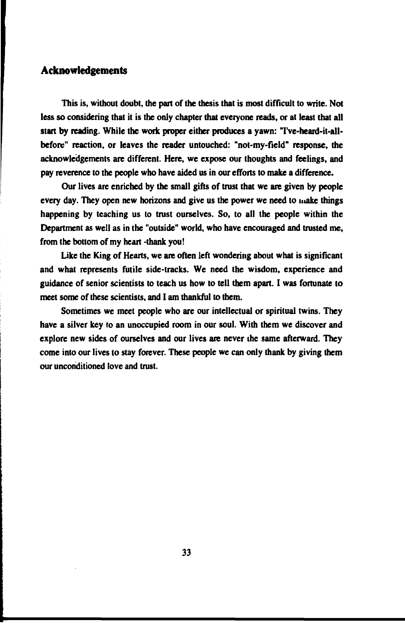## **Acknowledgements**

**This is, without doubt, the part of the thesis that is most difficult to write. Not less so considering that it is the only chapter that everyone reads, or at least that all start by reading. While the work proper either produces a yawn: Tve-heard-it-allbefore" reaction, or leaves the reader untouched: "not-my-field" response, the acknowledgements are different. Here, we expose our thoughts and feelings, and pay reverence to the people who have aided us in our efforts to make a difference.**

**Our lives are enriched by the small gifts of trust that we are given by people every day. They open new horizons and give us the power we need to make things happening by teaching us to trust ourselves. So, to all the people within the Department as well as in the "outside" world, who have encouraged and trusted me, from the bottom of my heart -thank you!**

**Like the King of Hearts, we are often left wondering about what is significant and what represents futile side-tracks. We need the wisdom, experience and guidance of senior scientists to teach us how to tell them apart. I was fortunate to meet some of these scientists, and I am thankful to them.**

**Sometimes we meet people who are our intellectual or spiritual twins. They have a silver key ro an unoccupied room in our soul. With them we discover and explore new sides of ourselves and our lives are never the same afterward. They come into our lives to stay forever. These people we can only thank by giving them our unconditioned love and trust.**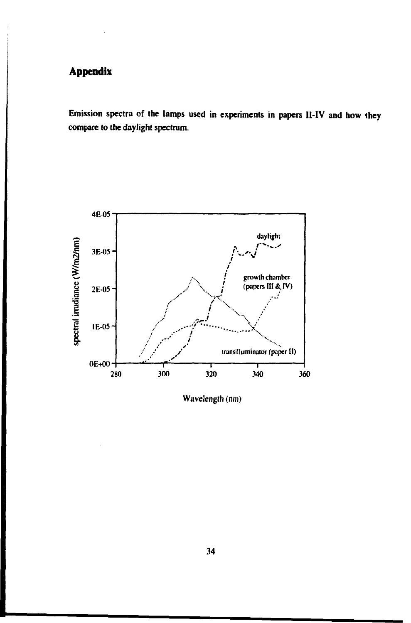# **Appendix**

**Emission spectra of the lamps used in experiments in papers II-IV and how they compare to the daylight spectrum.**



**Wavelength (nm)**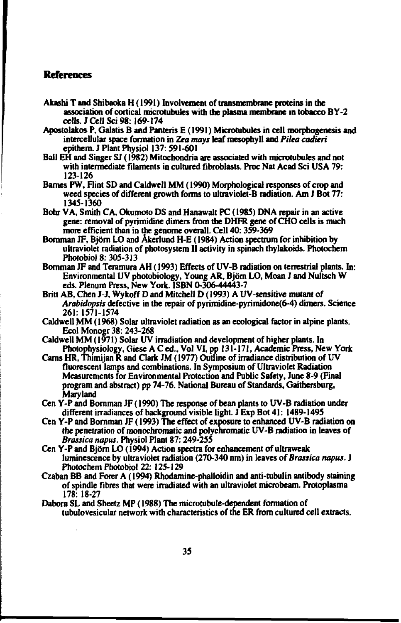## **References**

- **Akashi T and Shibaoka H (1991) Involvement of transmembrane proteins in the association of cortical microtubuies with the plasma membrane in tobacco BY-2 cells. J Cell Sci 98.169-174**
- **Apostolakos P, Galatis B and Panteris E (1991) Microtubuies in cell morphogenesis and intercellular space formation in** *Zea mays* **leaf mesophyll and** *Pilta cadieri* **epithem. J Plant Physiol 137:591-601**
- **Ball EH and Singer SJ (1982) Mitochondria are associated with microtubuies and not with intermediate filaments in cultured fibroblasts. Proc Nat Acad Sci USA 79: 123-126**
- **Barnes PW, Flint SD and Caldwell MM (1990) Morphological responses of crop and weed species of different growth forms to ultraviolet-B radiation. Am J Bot 77: 1345-1360**
- **Bohr VA, Smith CA, Okumoto DS and Hanawalt PC (1985) DNA repair in an active gene: removal of pyrimidine dimers from the DHFR gene of CHO cells is much more efficient than in the genome overall. Cell 40:359-369**
- **Bornman JF, Björn LO and Åkerlund H-E (1984) Action spectrum for inhibition by ultraviolet radiation of photosystem II activity in spinach thylakoids. Photochem Photobiol 8:305-313**
- **Bornman JF and Teramura AH (1993) Effects of UV-B radiation on terrestrial plants. In: Environmental UV photobiology, Young AR, Björn LO, Moan J and Nultsch W eds. Plenum Press, New York. ISBN 0-306-44443-7**
- **Britt AB, Chen J-J, Wykoff D and Mitchell D (1993) A UV-sensitive mutant** *of Arabidopsis* **defective in the repair of pyrimidine-pyrimidone(6-4) dimers. Science 261: 1571-1574**
- **Caldwell MM (1968) Solar ultraviolet radiation as an ecological factor in alpine plants. EcoIMonogr 38: 243-268**
- **Caldwell MM (1971) Solar UV irradiation and development of higher plants. In Photophysiology, Giese A C ed., Vol VI, pp 131-171, Academic Press, New York**
- **Cams HR, Thimijan R and Clark JM (1977) Outline of irradiance distribution of UV fluorescent lamps and combinations. In Symposium of Ultraviolet Radiation Measurements for Environmental Protection and Public Safety, June 8-9 (Final program and abstract) pp 74-76. National Bureau of Standards, Gaithersburg, Maryland**
- **Cen Y-P and Bornman JF (1990) The response of bean plants to UV-B radiation under different irradiances of background visible light. J Exp Bot 41: 1489-1495**
- **Cen Y-P and Bornman JF (1993) The effect of exposure to enhanced UV-B radiation on the penetration of monochromatic and polychromatic UV-B radiation in leaves of** *Brassica napus.* **Physiol Plant 87:249-255**
- **Cen Y-P and Björn LO (1994) Action spectra for enhancement of ultraweak luminescence by ultraviolet radiation (270-340 nm) in leaves** *of Brassica napus.* **J Photochem Photobiol 22:125-129**
- **Czaban BB and Forer A (1994) Rhodamine-phalloidin and anti-tubulin antibody suinmg of spindle fibres that were irradiated with an ultraviolet microbeam. Protoplasma 178:18-27**
- **Dabora SL and Sheetz MP (1988) The microtubule-dependent formation of tubulovesicular network with characteristics of the ER from cultured cell extracts.**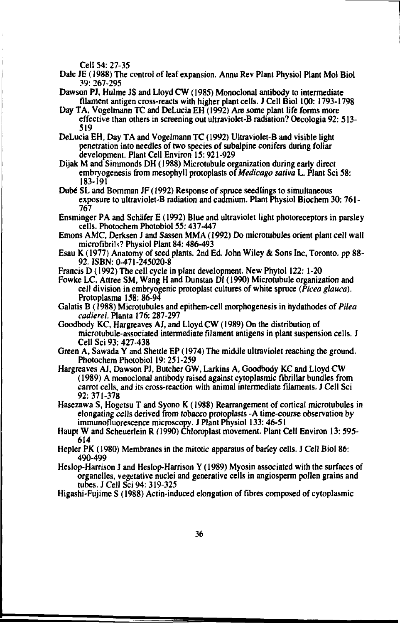**Cell 54:27-35**

**Dale JE (1988) The control of leaf expansion. Annu Rev Plant Physiol Plant Mol Biol 39: 267-295**

**Dawson PJ, Hulme JS and Lloyd CW (1985) Monoclonal antibody to intermediate filament antigen cross-reacts with higher plant cells. J Cell Biol 100: 1793-1798**

**Day T A, Vogelmann TC and DeLucia EH (1992) Are some plant life forms more effective than others in screening out ultraviolet-B radiation? Oecologia 92: 513- 519**

**DeLucia EH, Day TA and Vogelmann TC (1992) Ultraviolet-B and visible light penetration into needles of two species of subalpine conifers during foliar development. Plant Cell Environ 15:921-929**

**Dijak M and Simmonds DH (1988) Microtubule organization during early direct embryogenesis from mesophyll protoplasts** *oiMedicago sativa* **L. Plant Sci 58: 183-191**

**Dubé SL and Bornman JF (1992) Response of spruce seedlings to simultaneous exposure to ultraviolet-B radiation and cadmium. Plant Physiol Biochem 30: 761- 767**

**Ensminger PA and Schäfer E (1992) Blue and ultraviolet light photoreceptors in parsley cells. Photochem Photobiol 55:437-447**

**Emons AMC, Derksen J and Sassen MMA (1992) Do microtubules orient plant cell wall microfibrils? Physiol Plant 84:486-493**

**Esau K (1977) Anatomy of seed plants. 2nd Ed. John Wiley & Sons Inc, Toronto, pp 88- 92. ISBN: 0-471-245020-8**

**Francis D (1992) The cell cycle in plant development. New Phytol 122:1-20**

**Fowke LC, Attree SM, Wang H and Dunstan DI (1990) Microtubule organization and cell division in embryogenic protoplast cultures of white spruce** *{Picea glauca).* **Protoplasma 158: 86-94**

Galatis B (1988) Microtubules and epithem-cell morphogenesis in hydathodes of *Pilea cadierei.* **Planta 176:287-297**

**Goodbody KC, Hargreaves AJ, and Lloyd CW (1989) On the distribution of microtubule-associaled intermediate filament antigens in plant suspension cells. J Cell Sci 93:427-438**

**Green A, Sawada Y and Shettle EP (1974) The middle ultraviolet reaching the ground. Photochem Photobiol 19:251-259**

**Hargreaves AJ, Dawson PJ, Butcher GW, Larkins A, Goodbody KC and Lloyd CW (1989) A monoclonal antibody raised against cytoplasmic fibrillar bundles from carrot cells, and its cross-reaction with animal intermediate filaments. J Cell Sci 92: 371-378**

**Hasezawa S, Hogetsu T and Syono K (1988) Rearrangement of cortical microtubules in elongating cells derived from tobacco protoplasts -A time-course observation by immunofluorescence microscopy. J Plant Physiol 133:46-51**

**Haupt W and Scheuerlein R (1990) Chloroplast movement. Plant Cell Environ 13: 595- 614**

**Hepler PK (1980) Membranes in the mitotic apparatus of barley cells. J Cell Biol 86: 490-499**

**Heslop-Harrison J and Heslop-Harrison Y (1989) Myosin associated with the surfaces of organelies, vegetative nuclei and generative cells in angiosperm pollen grains and tubes. J Cell Sci 94: 319-325**

**Higashi-Fujime S (1988) Actin-induced elongation of fibres composed of cytoplasmic**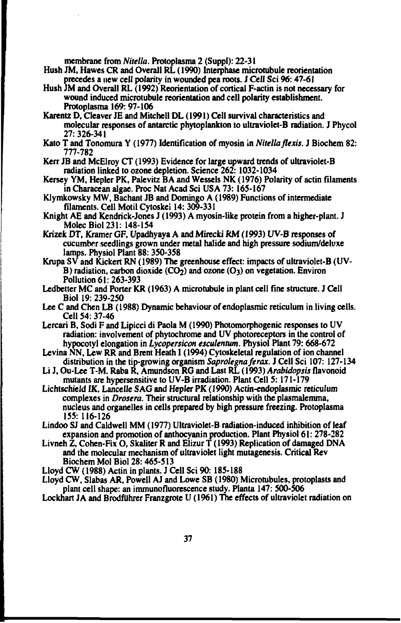**membrane from** *Nitella.* **Protoplasma 2 (Suppl): 22-31**

- **Hush JM, Hawes CR and Overall RL (1990) Interphase microtubule reorientation precedes a new cell polarity in wounded pea roots. J Cell Sci 96:47-61**
- **Hush JM and Overall RL (1992) Reorientation of cortical F-actin is not necessary for wound induced microtubule reorientation and cell polarity establishment. Protoplasma 169:97-106**
- **Karentz D, Cleaver JE and Mitchell DL (1991) Cell survival characteristics and molecular responses of antarctic phytoplankton to ultraviolet-B radiation. J Phycol 27:326-341**
- **Kato T and Tonomura Y (1977) Identification of myosin in** *Nitella flexis.* **J Biochem 82: 777-782**
- **Kerr JB and McElroy** *CT* **(1993) Evidence for large upward trends of ultraviolet-B radiation linked to ozone depletion. Science 262: 1032-1034**
- **Kersey YM, Hepler PK, Palevitz B A and Wessels NK (1976) Polarity of actin filaments in Characean algae. Proc Nat Acad Sci USA 73:165-167**
- **Klymkowsky MW, Bachant JB and Domingo A (1989) Functions of intermediate filaments. Cell Motil Cytoskei 14: 309-331**
- **Knight AE and Kendrick-Jones J (1993) A myosin-like protein from a higher-plant. J MolecBiol 231: 148-154**
- **Krizek DT, Kramer GF, Upadhyaya A and Mirecki RM (1993) UV-B responses of cucumber seedlings grown under metal halide and high pressure sodium/deluxe lamps. Physiol Plant 88: 3SO-3S8**
- **Krupa SV and Kickert RN (1989) The greenhouse effect: impacts of ultraviolet-B (UV-B) radiation, carbon dioxide (CO2) and ozone (O3) on vegetation. Environ Pollution 61: 263-393**
- **Ledbetter MC and Porter KR (1963) A microtubule in plant cell fine structure. J Cell Biol 19: 239-250**
- **Lee C and Chen LB (1988) Dynamic behaviour of endoplasmic reticulum in living cells. Cell 54: 37-46**
- **Lercari B, Sodi F and Lipicci di Paola M (1990) Photomorphogenic responses to UV radiation: involvement of phytochrome and UV photoreceptors in the control of hypocotyl elongation in** *Lycopersicon esculentum.* **Physiol Plant 79:668-672**
- **Levina NN, Lew RR and Brent Heath I (1994) Cytoskeletal regulation of ion channel distribution in the tip-growing organism** *Saprolegnaferax.* **J Cell Sci 107: 127-134**
- **Li J, Ou-Lee T-M. Raba R, Amundson RG and Last RL (1993)** *Arabidopsis* **flavonoid mutants are hypersensitive to UV-B irradiation. Plant Cell 5:171-179**
- **Lichtschieid IK, Lancelle SAG and Hepler PK (1990) Actin-endoplasmic reticulum complexes in** *Drosera.* **Their structural relationship with the plasmalemma, nucleus and organelles in cells prepared by high pressure freezing. Protoplasma 155: 116-126**
- **Lindoo SJ and Caldwell MM (1977) Ultraviolet-B radiation-induced inhibition of leaf expansion and promotion of anthocyanin production. Plant Physiol 61:278-282**
- **Livneh Z, Cohen-Fix O, Skaliter R and Elizur T (1993) Replication of damaged DNA and the molecular mechanism of ultraviolet light mutagenesis. Critical Rev Biochem Mol Biol 28:465-513**
- **Lloyd CW (1988) Actin in plants. J Cell Sci 90: 185-188**
- **Lloyd CW, Slabas AR, Powell AJ and Lowe SB (1980) Microtubules, protoplasts and plant cell shape: an immunofluorescence study. Planta 147: 500-506**
- **Lockhart JA and Brodftihrer Franzgrote U (1961) The effects of ultraviolet radiation on**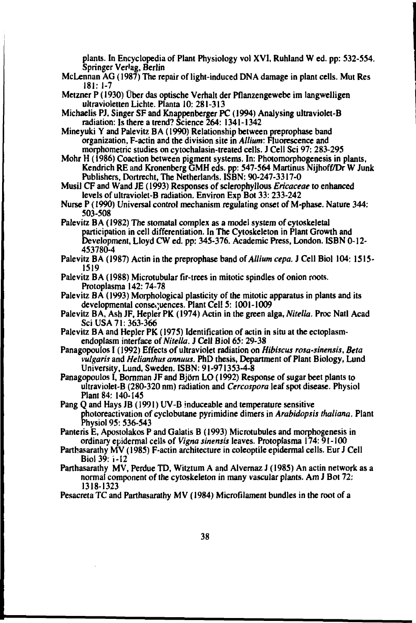**plants. In Encyclopedia of Plant Physiology vol XVI, Ruhland W ed. pp: S32-S54. Springer Verlag, Berlin**

**McLennan AG (1987) The repair of light-induced DNA damage in plant cells. Mut Res 181: 1-7**

**Metzner P (1930) Uber das optische Verhalt der Pflanzengewebe im langwelligen ultravioletten Lichte. Planta 10:281-313**

**Michaelis PJ, Singer SF and Knappenberger PC (1994) Analysing ultraviolet-B radiation: Is there a trend? Science 264: 1341-1342**

**Mineyuki Y and Palevitz BA (1990) Relationship between preprophase band organization, F-actin and the division site in** *Allium:* **Fluorescence and morphometric studies on cytochalasin-treated cells. J Cell Sci 97:283-295**

**Mohr H (1986) Coaction between pigment systems. In: Photomorphogenesis in plants, Kendrich RE and Kronenberg GMH eds. pp: 547-564 Martinus Nijhoff/Dr W Junk Publishers, Dortrecht, The Netherlands. ISBN: 90-247-3317-0**

**Musi! CF and Wand JE (1993) Responses of sclerophyllous** *Ericaceae* **to enhanced levels of ultraviolet-B radiation. Environ Exp Bot 33:233-242**

**Nurse P (1990) Universal control mechanism regulating onset of M-phase. Nature 344: 503-508**

**Palevitz BA (1982) The stomatal complex as a model system of cytoskeletal participation in cell differentiation. In The Cytoskeleton in Plant Growth and Development, Lloyd CW ed. pp: 345-376. Academic Press, London. ISBN 0-12- 453780-4**

**Palevitz BA (1987) Actin in the preprophase band of** *Allium cepa.* **J Cell Biol 104: 1515- 1519**

**Palevitz BA (1988) Microtubular fir-trees in mitotic spindles of onion roots. Protoplasma 142:74-78**

**Palevitz BA (1993) Morphological plasticity of the mitotic apparatus in plants and its** developmental consequences. Plant Cell 5: 1001-1009

**Palevitz B A, Ash JF, Hepler PK (1974) Actin in the green alga,** *Nitella.* **Proc Natl Acad Sci USA 71: 363-366**

Palevitz BA and Hepler PK (1975) Identification of actin in situ at the ectoplasm**endoplasm interface of** *Nitella.* **J Cell Biol 65:29-38**

**Panagopoulos I (1992) Effects of ultraviolet radiation on** *Hibiscus rosa-sinensis. Beta vulgaris* **and** *Helianthus annum.* **PhD thesis, Department of Plant Biology, Lund University, Lund, Sweden. ISBN: 91-971353-4-8**

**Panagopoulos I, Bornman JF and Björn LO (1992) Response of sugar beet plants to ultraviolet-B (280-320 nm) radiation and** *Cercospora* **leaf spot disease. Physiol Plant 84: 140-145**

**Pang Q and Hays JB (1991) UV-B induceable and temperature sensitive photoreactivation of cyclobutane pyrimidine dimers in** *Arabidopsis thaliana.* **Plant Physiol 95: 536-543**

**Pantens E, Apostolakos P and Galatis B (1993) Microtubules and morphogenesis in ordinary epidermal cells of** *Vigna sinensis* **leaves. Protoplasma 174:91-100**

**Parthasarathy MV (1985) F-actin architecture in coleoptile epidermal cells. Eur J Cell Biol 39:1-12**

**Parthasarathy MV, Perdue TD, Witztum A and Alvernaz J (1985) An actin network as a normal component of the cytoskeleton in many vascular plants. Am J Bot 72: 1318-1323**

**Pesacreta TC and Parthasarathy MV (1984) Microfilament bundles in the root of a**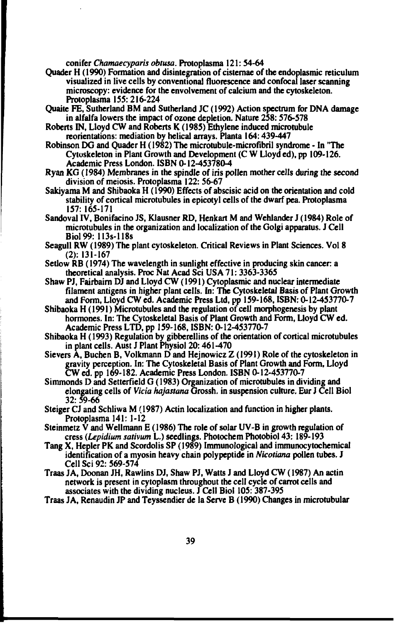**conifer** *Chamaecyparis obtusa.* **Protoplasma 121:54-64**

- **Quader H (1990) Formation and disintegration of cisternae of the cndoplasmic reticulum visualized in live cells by conventional fluorescence and confocal laser scanning microscopy: evidence for the envolvement of calcium and the cytoskeleton. Protoplasma 155: 216-224**
- **Quaite FE, Sutherland BM and Sutherland JC (1992) Action spectrum for DNA damage in alfalfa lowers the impact of ozone depletion. Nature 258:576-578**
- **Roberts IN, Lloyd CW and Roberts K (1985) Ethylene induced microtubule rcorientations: mediation by helical arrays. Planta 164:439-447**
- **Robinson DG and Quader H (1982) The microtubule-microftbril syndrome In "The Cytoskeleton in Plant Growth and Development (C W Lloyd ed), pp 109-126. Academic Press London. ISBN 0-12-453780-4**
- **Ryan KG (1984) Membranes in the spindle of iris pollen mother cells during the second division of meiosis. Protoplasma 122: 56-67**
- **Sakiyama M and Shibaoka H (1990) Effects of abscisic acid on the orientation and cold stability of cortical microtubules in epicotyl cells of the dwarf pea. Protoplasma 157:165-171**
- **Sandoval IV, Bonifacino JS, Klausner RD, Henkart M and Wehlander J (1984) Role of microtubules in the organization and localization of the Golgi apparatus. J Cell Biol99: 113s-118s**
- **Seagull RW (1989) The plant cytoskeleton. Critical Reviews in Plant Sciences. Vol 8 (2): 131-167**
- **Setlow RB (1974) The wavelength in sunlight effective in producing skin cancer: a theoretical analysis. Proc Nat Acad Sci USA 71: 3363-3365**
- **Shaw PJ, Fairbaim DJ and Lloyd CW (1991) Cytoplasmic and nuclear intermediate filament antigens in higher plant cells. In: The Cytoskeletal Basis of Plant Growth and Form, Lloyd CW ed. Academic Press Ltd, pp 159-168, ISBN: 0-12-453770-7**
- **Shibaoka H (1991) Microtubules and the regulation of cell morphogenesis by plant hormones. In: The Cytoskeletal Basis of Plant Growth and Form, Lloyd CW ed. Academic Press LTD, pp 159-168, ISBN: O-12-45377O;7**
- **Shibaoka H (1993) Regulation by gibberellins of the orientation of cortical microtubules in plant cells. Aust J Plant Physiol 20:461-470**
- **Sievers A, Buchen B, Volkmann D and Hejnowicz Z (1991) Role of the cytoskeleton in gravity perception. In: The Cytoskeletal Basis of Plant Growth and Form, Lloyd CW ed. pp 169-182. Academic Press London. ISBN 0-12-453770-7**
- **Simmonds D and Setterfield G (1983) Organization of microtubules in dividing and elongating cells of** *Vicia hajastana* **Grossh. in suspension culture. Eur J Cell Biol 32: 59-66**
- **Steiger CJ and Schliwa M (1987) Actin localization and function in higher plants. Protoplasma 141: 1-12**
- **Steinmetz V and Wellmann E (1986) The role of solar UV-B in growth regulation of cress** *(Lepidium sativum* **L.) seedlings. Photochem Photobiol 43: 189-193**
- **Tang X, Hepler PK and Scordolis SP (1989) Immunological and immunocytochemical identification of a myosin heavy chain polypeptide in** *Nicotiana* **pollen tubes. J Cell Sci 92: 569-574**
- **Traas JA, Doonan JH, Rawlins DJ, Shaw PJ, Watts J and Lloyd CW (1987) An actin network is present in cytoplasm throughout the cell cycle of carrot cells and associates with the dividing nucleus. J Cell Biol 105: 387-395**
- **Traas JA, Renaudin JP and Teyssendier de la Serve B (1990) Changes in microtubular**